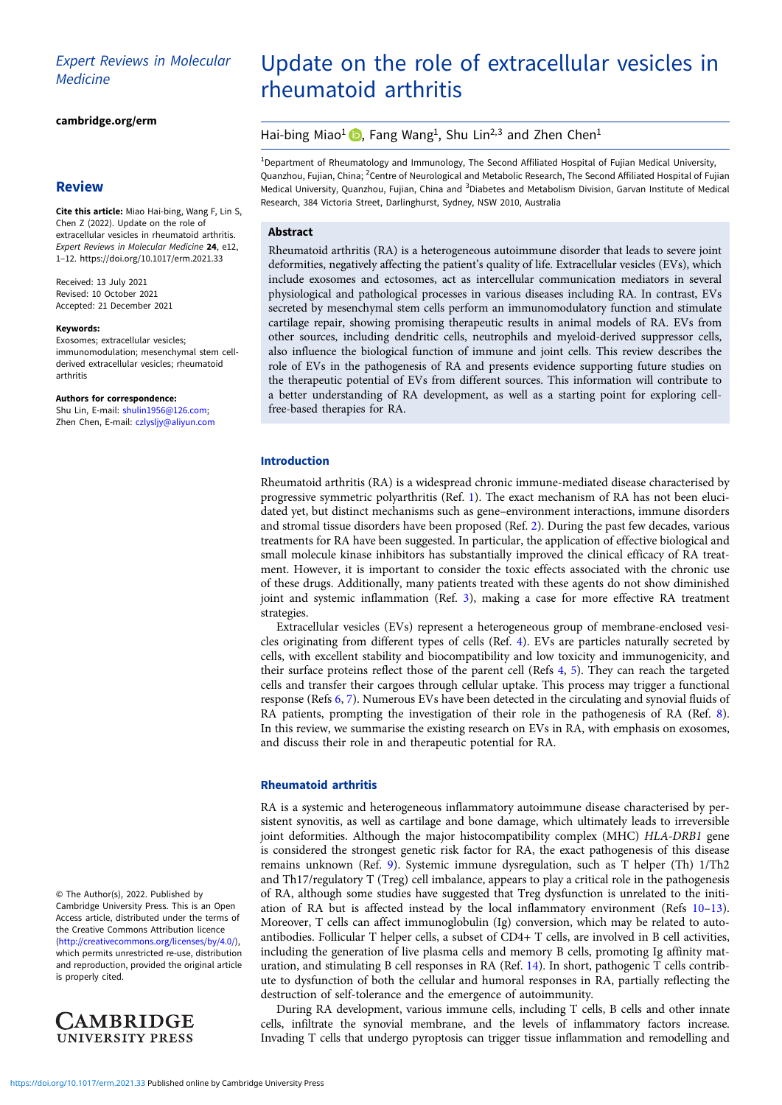## Expert Reviews in Molecular **Medicine**

[cambridge.org/erm](https://www.cambridge.org/erm)

## **Review**

Cite this article: Miao Hai-bing, Wang F, Lin S, Chen Z (2022). Update on the role of extracellular vesicles in rheumatoid arthritis. Expert Reviews in Molecular Medicine 24, e12, 1–12.<https://doi.org/10.1017/erm.2021.33>

Received: 13 July 2021 Revised: 10 October 2021 Accepted: 21 December 2021

#### Keywords:

Exosomes; extracellular vesicles; immunomodulation; mesenchymal stem cellderived extracellular vesicles; rheumatoid arthritis

#### Authors for correspondence:

Shu Lin, E-mail: [shulin1956@126.com;](mailto:shulin1956@126.com) Zhen Chen, E-mail: [czlysljy@aliyun.com](mailto:czlysljy@aliyun.com)

© The Author(s), 2022. Published by Cambridge University Press. This is an Open Access article, distributed under the terms of the Creative Commons Attribution licence ([http://creativecommons.org/licenses/by/4.0/\)](http://creativecommons.org/licenses/by/4.0/), which permits unrestricted re-use, distribution and reproduction, provided the original article is properly cited.



# Update on the role of extracellular vesicles in rheumatoid arthritis

Hai-bing Miao<sup>1</sup> **D**, Fang Wang<sup>1</sup>, Shu Lin<sup>2,3</sup> and Zhen Chen<sup>1</sup>

<sup>1</sup>Department of Rheumatology and Immunology, The Second Affiliated Hospital of Fujian Medical University, Quanzhou, Fujian, China; <sup>2</sup>Centre of Neurological and Metabolic Research, The Second Affiliated Hospital of Fujian Medical University, Quanzhou, Fujian, China and <sup>3</sup>Diabetes and Metabolism Division, Garvan Institute of Medical Research, 384 Victoria Street, Darlinghurst, Sydney, NSW 2010, Australia

## Abstract

Rheumatoid arthritis (RA) is a heterogeneous autoimmune disorder that leads to severe joint deformities, negatively affecting the patient's quality of life. Extracellular vesicles (EVs), which include exosomes and ectosomes, act as intercellular communication mediators in several physiological and pathological processes in various diseases including RA. In contrast, EVs secreted by mesenchymal stem cells perform an immunomodulatory function and stimulate cartilage repair, showing promising therapeutic results in animal models of RA. EVs from other sources, including dendritic cells, neutrophils and myeloid-derived suppressor cells, also influence the biological function of immune and joint cells. This review describes the role of EVs in the pathogenesis of RA and presents evidence supporting future studies on the therapeutic potential of EVs from different sources. This information will contribute to a better understanding of RA development, as well as a starting point for exploring cellfree-based therapies for RA.

## Introduction

Rheumatoid arthritis (RA) is a widespread chronic immune-mediated disease characterised by progressive symmetric polyarthritis (Ref. [1](#page-8-0)). The exact mechanism of RA has not been elucidated yet, but distinct mechanisms such as gene–environment interactions, immune disorders and stromal tissue disorders have been proposed (Ref. [2](#page-8-0)). During the past few decades, various treatments for RA have been suggested. In particular, the application of effective biological and small molecule kinase inhibitors has substantially improved the clinical efficacy of RA treatment. However, it is important to consider the toxic effects associated with the chronic use of these drugs. Additionally, many patients treated with these agents do not show diminished joint and systemic inflammation (Ref. [3](#page-8-0)), making a case for more effective RA treatment strategies.

Extracellular vesicles (EVs) represent a heterogeneous group of membrane-enclosed vesicles originating from different types of cells (Ref. [4\)](#page-8-0). EVs are particles naturally secreted by cells, with excellent stability and biocompatibility and low toxicity and immunogenicity, and their surface proteins reflect those of the parent cell (Refs [4](#page-8-0), [5](#page-8-0)). They can reach the targeted cells and transfer their cargoes through cellular uptake. This process may trigger a functional response (Refs [6,](#page-8-0) [7](#page-8-0)). Numerous EVs have been detected in the circulating and synovial fluids of RA patients, prompting the investigation of their role in the pathogenesis of RA (Ref. [8](#page-8-0)). In this review, we summarise the existing research on EVs in RA, with emphasis on exosomes, and discuss their role in and therapeutic potential for RA.

## Rheumatoid arthritis

RA is a systemic and heterogeneous inflammatory autoimmune disease characterised by persistent synovitis, as well as cartilage and bone damage, which ultimately leads to irreversible joint deformities. Although the major histocompatibility complex (MHC) HLA-DRB1 gene is considered the strongest genetic risk factor for RA, the exact pathogenesis of this disease remains unknown (Ref. [9\)](#page-8-0). Systemic immune dysregulation, such as T helper (Th) 1/Th2 and Th17/regulatory T (Treg) cell imbalance, appears to play a critical role in the pathogenesis of RA, although some studies have suggested that Treg dysfunction is unrelated to the initiation of RA but is affected instead by the local inflammatory environment (Refs [10](#page-8-0)–[13](#page-8-0)). Moreover, T cells can affect immunoglobulin (Ig) conversion, which may be related to autoantibodies. Follicular T helper cells, a subset of CD4+ T cells, are involved in B cell activities, including the generation of live plasma cells and memory B cells, promoting Ig affinity maturation, and stimulating B cell responses in RA (Ref. [14](#page-8-0)). In short, pathogenic T cells contribute to dysfunction of both the cellular and humoral responses in RA, partially reflecting the destruction of self-tolerance and the emergence of autoimmunity.

During RA development, various immune cells, including T cells, B cells and other innate cells, infiltrate the synovial membrane, and the levels of inflammatory factors increase. Invading T cells that undergo pyroptosis can trigger tissue inflammation and remodelling and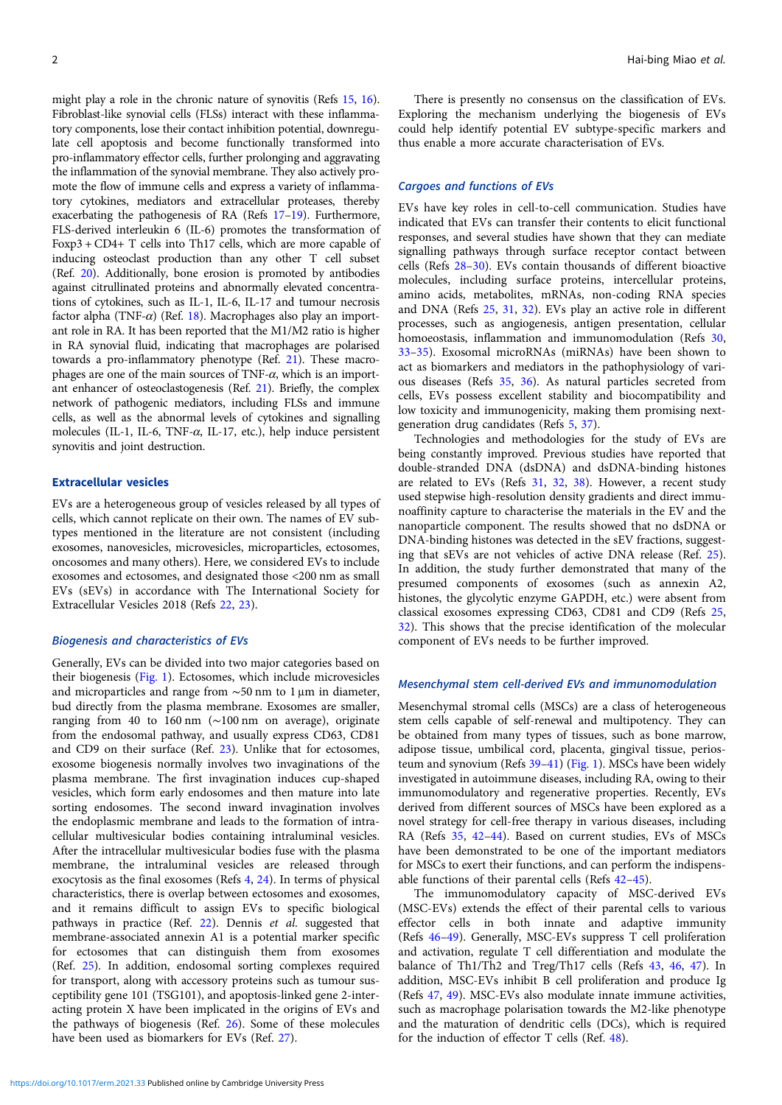might play a role in the chronic nature of synovitis (Refs [15,](#page-8-0) [16\)](#page-8-0). Fibroblast-like synovial cells (FLSs) interact with these inflammatory components, lose their contact inhibition potential, downregulate cell apoptosis and become functionally transformed into pro-inflammatory effector cells, further prolonging and aggravating the inflammation of the synovial membrane. They also actively promote the flow of immune cells and express a variety of inflammatory cytokines, mediators and extracellular proteases, thereby exacerbating the pathogenesis of RA (Refs [17](#page-8-0)–[19\)](#page-8-0). Furthermore, FLS-derived interleukin 6 (IL-6) promotes the transformation of Foxp3 + CD4+ T cells into Th17 cells, which are more capable of inducing osteoclast production than any other T cell subset (Ref. [20](#page-8-0)). Additionally, bone erosion is promoted by antibodies against citrullinated proteins and abnormally elevated concentrations of cytokines, such as IL-1, IL-6, IL-17 and tumour necrosis factor alpha (TNF- $\alpha$ ) (Ref. [18\)](#page-8-0). Macrophages also play an important role in RA. It has been reported that the M1/M2 ratio is higher in RA synovial fluid, indicating that macrophages are polarised towards a pro-inflammatory phenotype (Ref. [21\)](#page-8-0). These macrophages are one of the main sources of TNF- $\alpha$ , which is an important enhancer of osteoclastogenesis (Ref. [21\)](#page-8-0). Briefly, the complex network of pathogenic mediators, including FLSs and immune cells, as well as the abnormal levels of cytokines and signalling molecules (IL-1, IL-6, TNF- $\alpha$ , IL-17, etc.), help induce persistent synovitis and joint destruction.

## Extracellular vesicles

EVs are a heterogeneous group of vesicles released by all types of cells, which cannot replicate on their own. The names of EV subtypes mentioned in the literature are not consistent (including exosomes, nanovesicles, microvesicles, microparticles, ectosomes, oncosomes and many others). Here, we considered EVs to include exosomes and ectosomes, and designated those <200 nm as small EVs (sEVs) in accordance with The International Society for Extracellular Vesicles 2018 (Refs [22,](#page-8-0) [23\)](#page-8-0).

## Biogenesis and characteristics of EVs

Generally, EVs can be divided into two major categories based on their biogenesis [\(Fig. 1\)](#page-2-0). Ectosomes, which include microvesicles and microparticles and range from ∼50 nm to 1 μm in diameter, bud directly from the plasma membrane. Exosomes are smaller, ranging from 40 to 160 nm (∼100 nm on average), originate from the endosomal pathway, and usually express CD63, CD81 and CD9 on their surface (Ref. [23](#page-8-0)). Unlike that for ectosomes, exosome biogenesis normally involves two invaginations of the plasma membrane. The first invagination induces cup-shaped vesicles, which form early endosomes and then mature into late sorting endosomes. The second inward invagination involves the endoplasmic membrane and leads to the formation of intracellular multivesicular bodies containing intraluminal vesicles. After the intracellular multivesicular bodies fuse with the plasma membrane, the intraluminal vesicles are released through exocytosis as the final exosomes (Refs [4,](#page-8-0) [24\)](#page-8-0). In terms of physical characteristics, there is overlap between ectosomes and exosomes, and it remains difficult to assign EVs to specific biological pathways in practice (Ref. [22](#page-8-0)). Dennis et al. suggested that membrane-associated annexin A1 is a potential marker specific for ectosomes that can distinguish them from exosomes (Ref. [25\)](#page-8-0). In addition, endosomal sorting complexes required for transport, along with accessory proteins such as tumour susceptibility gene 101 (TSG101), and apoptosis-linked gene 2-interacting protein X have been implicated in the origins of EVs and the pathways of biogenesis (Ref. [26](#page-8-0)). Some of these molecules have been used as biomarkers for EVs (Ref. [27\)](#page-8-0).

There is presently no consensus on the classification of EVs. Exploring the mechanism underlying the biogenesis of EVs could help identify potential EV subtype-specific markers and thus enable a more accurate characterisation of EVs.

## Cargoes and functions of EVs

EVs have key roles in cell-to-cell communication. Studies have indicated that EVs can transfer their contents to elicit functional responses, and several studies have shown that they can mediate signalling pathways through surface receptor contact between cells (Refs [28](#page-8-0)–[30](#page-8-0)). EVs contain thousands of different bioactive molecules, including surface proteins, intercellular proteins, amino acids, metabolites, mRNAs, non-coding RNA species and DNA (Refs [25](#page-8-0), [31,](#page-8-0) [32\)](#page-8-0). EVs play an active role in different processes, such as angiogenesis, antigen presentation, cellular homoeostasis, inflammation and immunomodulation (Refs [30,](#page-8-0) [33](#page-8-0)–[35](#page-8-0)). Exosomal microRNAs (miRNAs) have been shown to act as biomarkers and mediators in the pathophysiology of various diseases (Refs [35](#page-8-0), [36](#page-8-0)). As natural particles secreted from cells, EVs possess excellent stability and biocompatibility and low toxicity and immunogenicity, making them promising nextgeneration drug candidates (Refs [5](#page-8-0), [37\)](#page-8-0).

Technologies and methodologies for the study of EVs are being constantly improved. Previous studies have reported that double-stranded DNA (dsDNA) and dsDNA-binding histones are related to EVs (Refs [31](#page-8-0), [32,](#page-8-0) [38\)](#page-8-0). However, a recent study used stepwise high-resolution density gradients and direct immunoaffinity capture to characterise the materials in the EV and the nanoparticle component. The results showed that no dsDNA or DNA-binding histones was detected in the sEV fractions, suggesting that sEVs are not vehicles of active DNA release (Ref. [25](#page-8-0)). In addition, the study further demonstrated that many of the presumed components of exosomes (such as annexin A2, histones, the glycolytic enzyme GAPDH, etc.) were absent from classical exosomes expressing CD63, CD81 and CD9 (Refs [25,](#page-8-0) [32](#page-8-0)). This shows that the precise identification of the molecular component of EVs needs to be further improved.

## Mesenchymal stem cell-derived EVs and immunomodulation

Mesenchymal stromal cells (MSCs) are a class of heterogeneous stem cells capable of self-renewal and multipotency. They can be obtained from many types of tissues, such as bone marrow, adipose tissue, umbilical cord, placenta, gingival tissue, perios-teum and synovium (Refs [39](#page-8-0)-[41\)](#page-8-0) ([Fig. 1\)](#page-2-0). MSCs have been widely investigated in autoimmune diseases, including RA, owing to their immunomodulatory and regenerative properties. Recently, EVs derived from different sources of MSCs have been explored as a novel strategy for cell-free therapy in various diseases, including RA (Refs [35,](#page-8-0) [42](#page-8-0)–[44\)](#page-9-0). Based on current studies, EVs of MSCs have been demonstrated to be one of the important mediators for MSCs to exert their functions, and can perform the indispensable functions of their parental cells (Refs [42](#page-8-0)–[45\)](#page-9-0).

The immunomodulatory capacity of MSC-derived EVs (MSC-EVs) extends the effect of their parental cells to various effector cells in both innate and adaptive immunity (Refs [46](#page-9-0)–[49](#page-9-0)). Generally, MSC-EVs suppress T cell proliferation and activation, regulate T cell differentiation and modulate the balance of Th1/Th2 and Treg/Th17 cells (Refs [43](#page-9-0), [46](#page-9-0), [47\)](#page-9-0). In addition, MSC-EVs inhibit B cell proliferation and produce Ig (Refs [47,](#page-9-0) [49](#page-9-0)). MSC-EVs also modulate innate immune activities, such as macrophage polarisation towards the M2-like phenotype and the maturation of dendritic cells (DCs), which is required for the induction of effector T cells (Ref. [48](#page-9-0)).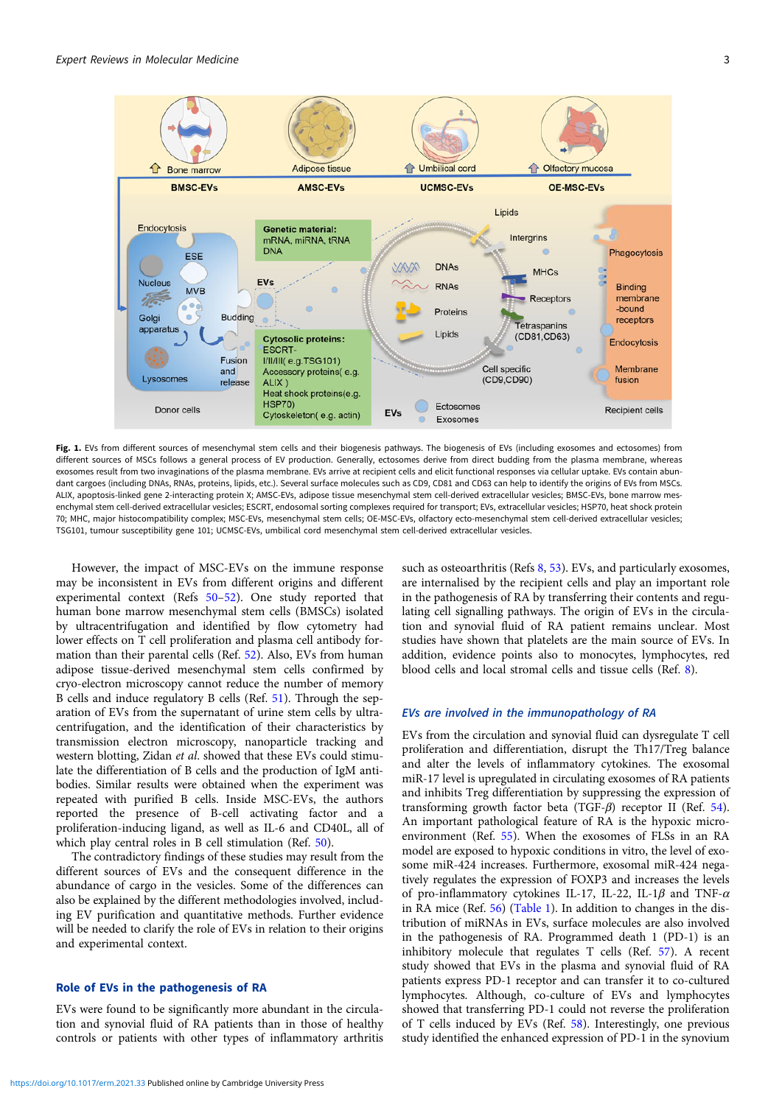<span id="page-2-0"></span>

Fig. 1. EVs from different sources of mesenchymal stem cells and their biogenesis pathways. The biogenesis of EVs (including exosomes and ectosomes) from different sources of MSCs follows a general process of EV production. Generally, ectosomes derive from direct budding from the plasma membrane, whereas exosomes result from two invaginations of the plasma membrane. EVs arrive at recipient cells and elicit functional responses via cellular uptake. EVs contain abundant cargoes (including DNAs, RNAs, proteins, lipids, etc.). Several surface molecules such as CD9, CD81 and CD63 can help to identify the origins of EVs from MSCs. ALIX, apoptosis-linked gene 2-interacting protein X; AMSC-EVs, adipose tissue mesenchymal stem cell-derived extracellular vesicles; BMSC-EVs, bone marrow mesenchymal stem cell-derived extracellular vesicles; ESCRT, endosomal sorting complexes required for transport; EVs, extracellular vesicles; HSP70, heat shock protein 70; MHC, major histocompatibility complex; MSC-EVs, mesenchymal stem cells; OE-MSC-EVs, olfactory ecto-mesenchymal stem cell-derived extracellular vesicles; TSG101, tumour susceptibility gene 101; UCMSC-EVs, umbilical cord mesenchymal stem cell-derived extracellular vesicles.

However, the impact of MSC-EVs on the immune response may be inconsistent in EVs from different origins and different experimental context (Refs [50](#page-9-0)–[52\)](#page-9-0). One study reported that human bone marrow mesenchymal stem cells (BMSCs) isolated by ultracentrifugation and identified by flow cytometry had lower effects on T cell proliferation and plasma cell antibody formation than their parental cells (Ref. [52](#page-9-0)). Also, EVs from human adipose tissue-derived mesenchymal stem cells confirmed by cryo-electron microscopy cannot reduce the number of memory B cells and induce regulatory B cells (Ref. [51](#page-9-0)). Through the separation of EVs from the supernatant of urine stem cells by ultracentrifugation, and the identification of their characteristics by transmission electron microscopy, nanoparticle tracking and western blotting, Zidan et al. showed that these EVs could stimulate the differentiation of B cells and the production of IgM antibodies. Similar results were obtained when the experiment was repeated with purified B cells. Inside MSC-EVs, the authors reported the presence of B-cell activating factor and a proliferation-inducing ligand, as well as IL-6 and CD40L, all of which play central roles in B cell stimulation (Ref. [50\)](#page-9-0).

The contradictory findings of these studies may result from the different sources of EVs and the consequent difference in the abundance of cargo in the vesicles. Some of the differences can also be explained by the different methodologies involved, including EV purification and quantitative methods. Further evidence will be needed to clarify the role of EVs in relation to their origins and experimental context.

## Role of EVs in the pathogenesis of RA

EVs were found to be significantly more abundant in the circulation and synovial fluid of RA patients than in those of healthy controls or patients with other types of inflammatory arthritis such as osteoarthritis (Refs [8,](#page-8-0) [53](#page-9-0)). EVs, and particularly exosomes, are internalised by the recipient cells and play an important role in the pathogenesis of RA by transferring their contents and regulating cell signalling pathways. The origin of EVs in the circulation and synovial fluid of RA patient remains unclear. Most studies have shown that platelets are the main source of EVs. In addition, evidence points also to monocytes, lymphocytes, red blood cells and local stromal cells and tissue cells (Ref. [8\)](#page-8-0).

#### EVs are involved in the immunopathology of RA

EVs from the circulation and synovial fluid can dysregulate T cell proliferation and differentiation, disrupt the Th17/Treg balance and alter the levels of inflammatory cytokines. The exosomal miR-17 level is upregulated in circulating exosomes of RA patients and inhibits Treg differentiation by suppressing the expression of transforming growth factor beta (TGF-β) receptor II (Ref. [54](#page-9-0)). An important pathological feature of RA is the hypoxic microenvironment (Ref. [55\)](#page-9-0). When the exosomes of FLSs in an RA model are exposed to hypoxic conditions in vitro, the level of exosome miR-424 increases. Furthermore, exosomal miR-424 negatively regulates the expression of FOXP3 and increases the levels of pro-inflammatory cytokines IL-17, IL-22, IL-1 $\beta$  and TNF- $\alpha$ in RA mice (Ref. [56](#page-9-0)) [\(Table 1](#page-3-0)). In addition to changes in the distribution of miRNAs in EVs, surface molecules are also involved in the pathogenesis of RA. Programmed death 1 (PD-1) is an inhibitory molecule that regulates T cells (Ref. [57](#page-9-0)). A recent study showed that EVs in the plasma and synovial fluid of RA patients express PD-1 receptor and can transfer it to co-cultured lymphocytes. Although, co-culture of EVs and lymphocytes showed that transferring PD-1 could not reverse the proliferation of T cells induced by EVs (Ref. [58\)](#page-9-0). Interestingly, one previous study identified the enhanced expression of PD-1 in the synovium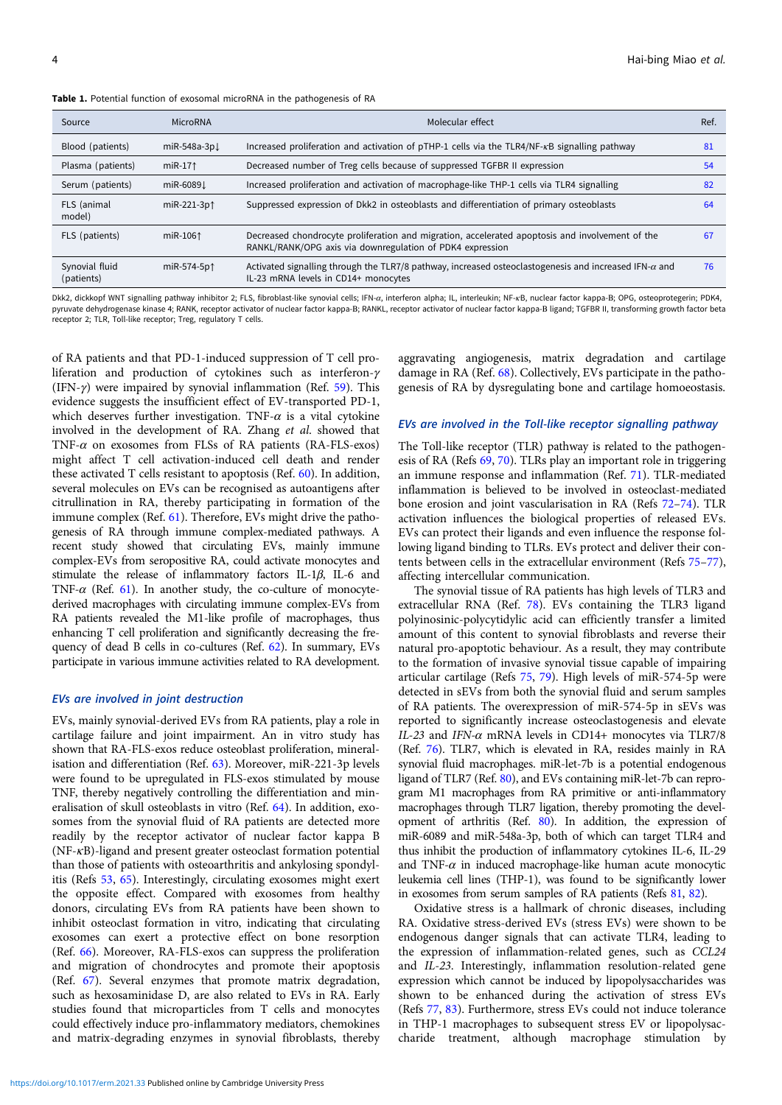<span id="page-3-0"></span>

| Table 1. Potential function of exosomal microRNA in the pathogenesis of RA |  |  |
|----------------------------------------------------------------------------|--|--|
|----------------------------------------------------------------------------|--|--|

| Source                       | MicroRNA      | Molecular effect                                                                                                                                             | Ref. |
|------------------------------|---------------|--------------------------------------------------------------------------------------------------------------------------------------------------------------|------|
| Blood (patients)             | $miR-548a-3p$ | Increased proliferation and activation of $pTHP-1$ cells via the $TLR4/NF\text{-}kB$ signalling pathway                                                      | 81   |
| Plasma (patients)            | $miR-17$      | Decreased number of Treg cells because of suppressed TGFBR II expression                                                                                     | 54   |
| Serum (patients)             | miR-60891     | Increased proliferation and activation of macrophage-like THP-1 cells via TLR4 signalling                                                                    | 82   |
| FLS (animal<br>model)        | miR-221-3p1   | Suppressed expression of Dkk2 in osteoblasts and differentiation of primary osteoblasts                                                                      | 64   |
| FLS (patients)               | miR-1061      | Decreased chondrocyte proliferation and migration, accelerated apoptosis and involvement of the<br>RANKL/RANK/OPG axis via downregulation of PDK4 expression | 67   |
| Synovial fluid<br>(patients) | miR-574-5p1   | Activated signalling through the TLR7/8 pathway, increased osteoclastogenesis and increased IFN- $\alpha$ and<br>IL-23 mRNA levels in CD14+ monocytes        | 76   |

Dkk2, dickkopf WNT signalling pathway inhibitor 2; FLS, fibroblast-like synovial cells; IFN-α, interferon alpha; IL, interleukin; NF-κB, nuclear factor kappa-Β; OPG, osteoprotegerin; PDK4, pyruvate dehydrogenase kinase 4; RANK, receptor activator of nuclear factor kappa-Β; RANKL, receptor activator of nuclear factor kappa-Β ligand; TGFBR II, transforming growth factor beta receptor 2; TLR, Toll-like receptor; Treg, regulatory T cells.

of RA patients and that PD-1-induced suppression of T cell proliferation and production of cytokines such as interferon-γ (IFN- $\gamma$ ) were impaired by synovial inflammation (Ref. [59](#page-9-0)). This evidence suggests the insufficient effect of EV-transported PD-1, which deserves further investigation. TNF- $\alpha$  is a vital cytokine involved in the development of RA. Zhang et al. showed that TNF- $\alpha$  on exosomes from FLSs of RA patients (RA-FLS-exos) might affect T cell activation-induced cell death and render these activated T cells resistant to apoptosis (Ref. [60\)](#page-9-0). In addition, several molecules on EVs can be recognised as autoantigens after citrullination in RA, thereby participating in formation of the immune complex (Ref. [61\)](#page-9-0). Therefore, EVs might drive the pathogenesis of RA through immune complex-mediated pathways. A recent study showed that circulating EVs, mainly immune complex-EVs from seropositive RA, could activate monocytes and stimulate the release of inflammatory factors IL-1β, IL-6 and TNF- $\alpha$  (Ref. [61](#page-9-0)). In another study, the co-culture of monocytederived macrophages with circulating immune complex-EVs from RA patients revealed the M1-like profile of macrophages, thus enhancing T cell proliferation and significantly decreasing the frequency of dead B cells in co-cultures (Ref. [62\)](#page-9-0). In summary, EVs participate in various immune activities related to RA development.

#### EVs are involved in joint destruction

EVs, mainly synovial-derived EVs from RA patients, play a role in cartilage failure and joint impairment. An in vitro study has shown that RA-FLS-exos reduce osteoblast proliferation, mineralisation and differentiation (Ref. [63\)](#page-9-0). Moreover, miR-221-3p levels were found to be upregulated in FLS-exos stimulated by mouse TNF, thereby negatively controlling the differentiation and mineralisation of skull osteoblasts in vitro (Ref. [64\)](#page-9-0). In addition, exosomes from the synovial fluid of RA patients are detected more readily by the receptor activator of nuclear factor kappa B (NF-κB)-ligand and present greater osteoclast formation potential than those of patients with osteoarthritis and ankylosing spondylitis (Refs [53,](#page-9-0) [65\)](#page-9-0). Interestingly, circulating exosomes might exert the opposite effect. Compared with exosomes from healthy donors, circulating EVs from RA patients have been shown to inhibit osteoclast formation in vitro, indicating that circulating exosomes can exert a protective effect on bone resorption (Ref. [66\)](#page-9-0). Moreover, RA-FLS-exos can suppress the proliferation and migration of chondrocytes and promote their apoptosis (Ref. [67](#page-9-0)). Several enzymes that promote matrix degradation, such as hexosaminidase D, are also related to EVs in RA. Early studies found that microparticles from T cells and monocytes could effectively induce pro-inflammatory mediators, chemokines and matrix-degrading enzymes in synovial fibroblasts, thereby

aggravating angiogenesis, matrix degradation and cartilage damage in RA (Ref. [68](#page-9-0)). Collectively, EVs participate in the pathogenesis of RA by dysregulating bone and cartilage homoeostasis.

#### EVs are involved in the Toll-like receptor signalling pathway

The Toll-like receptor (TLR) pathway is related to the pathogenesis of RA (Refs [69,](#page-9-0) [70](#page-9-0)). TLRs play an important role in triggering an immune response and inflammation (Ref. [71](#page-9-0)). TLR-mediated inflammation is believed to be involved in osteoclast-mediated bone erosion and joint vascularisation in RA (Refs [72](#page-9-0)–[74](#page-9-0)). TLR activation influences the biological properties of released EVs. EVs can protect their ligands and even influence the response following ligand binding to TLRs. EVs protect and deliver their contents between cells in the extracellular environment (Refs [75](#page-9-0)–[77](#page-9-0)), affecting intercellular communication.

The synovial tissue of RA patients has high levels of TLR3 and extracellular RNA (Ref. [78](#page-9-0)). EVs containing the TLR3 ligand polyinosinic-polycytidylic acid can efficiently transfer a limited amount of this content to synovial fibroblasts and reverse their natural pro-apoptotic behaviour. As a result, they may contribute to the formation of invasive synovial tissue capable of impairing articular cartilage (Refs [75](#page-9-0), [79\)](#page-9-0). High levels of miR-574-5p were detected in sEVs from both the synovial fluid and serum samples of RA patients. The overexpression of miR-574-5p in sEVs was reported to significantly increase osteoclastogenesis and elevate IL-23 and IFN- $\alpha$  mRNA levels in CD14+ monocytes via TLR7/8 (Ref. [76\)](#page-9-0). TLR7, which is elevated in RA, resides mainly in RA synovial fluid macrophages. miR-let-7b is a potential endogenous ligand of TLR7 (Ref. [80\)](#page-9-0), and EVs containing miR-let-7b can reprogram M1 macrophages from RA primitive or anti-inflammatory macrophages through TLR7 ligation, thereby promoting the development of arthritis (Ref. [80\)](#page-9-0). In addition, the expression of miR-6089 and miR-548a-3p, both of which can target TLR4 and thus inhibit the production of inflammatory cytokines IL-6, IL-29 and TNF- $\alpha$  in induced macrophage-like human acute monocytic leukemia cell lines (THP-1), was found to be significantly lower in exosomes from serum samples of RA patients (Refs [81,](#page-9-0) [82](#page-9-0)).

Oxidative stress is a hallmark of chronic diseases, including RA. Oxidative stress-derived EVs (stress EVs) were shown to be endogenous danger signals that can activate TLR4, leading to the expression of inflammation-related genes, such as CCL24 and IL-23. Interestingly, inflammation resolution-related gene expression which cannot be induced by lipopolysaccharides was shown to be enhanced during the activation of stress EVs (Refs [77](#page-9-0), [83](#page-9-0)). Furthermore, stress EVs could not induce tolerance in THP-1 macrophages to subsequent stress EV or lipopolysaccharide treatment, although macrophage stimulation by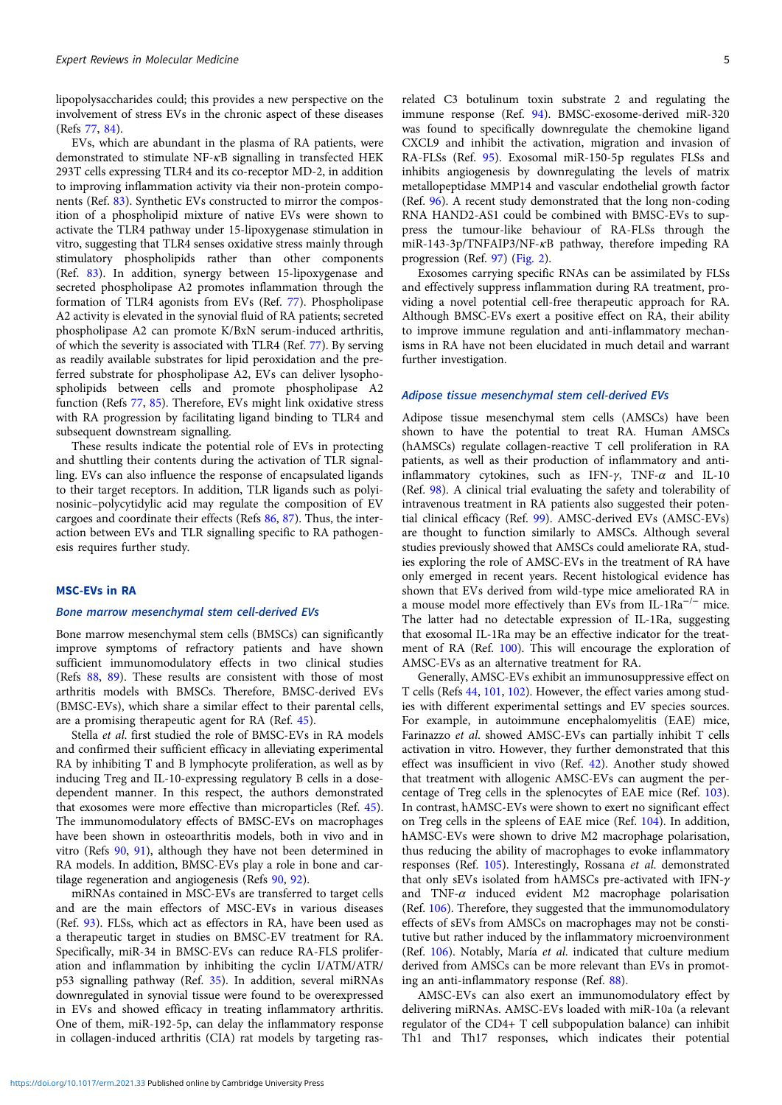lipopolysaccharides could; this provides a new perspective on the involvement of stress EVs in the chronic aspect of these diseases (Refs [77,](#page-9-0) [84](#page-9-0)).

EVs, which are abundant in the plasma of RA patients, were demonstrated to stimulate NF-κB signalling in transfected HEK 293T cells expressing TLR4 and its co-receptor MD-2, in addition to improving inflammation activity via their non-protein components (Ref. [83](#page-9-0)). Synthetic EVs constructed to mirror the composition of a phospholipid mixture of native EVs were shown to activate the TLR4 pathway under 15-lipoxygenase stimulation in vitro, suggesting that TLR4 senses oxidative stress mainly through stimulatory phospholipids rather than other components (Ref. [83](#page-9-0)). In addition, synergy between 15-lipoxygenase and secreted phospholipase A2 promotes inflammation through the formation of TLR4 agonists from EVs (Ref. [77\)](#page-9-0). Phospholipase A2 activity is elevated in the synovial fluid of RA patients; secreted phospholipase A2 can promote K/BxN serum-induced arthritis, of which the severity is associated with TLR4 (Ref. [77\)](#page-9-0). By serving as readily available substrates for lipid peroxidation and the preferred substrate for phospholipase A2, EVs can deliver lysophospholipids between cells and promote phospholipase A2 function (Refs [77,](#page-9-0) [85\)](#page-9-0). Therefore, EVs might link oxidative stress with RA progression by facilitating ligand binding to TLR4 and subsequent downstream signalling.

These results indicate the potential role of EVs in protecting and shuttling their contents during the activation of TLR signalling. EVs can also influence the response of encapsulated ligands to their target receptors. In addition, TLR ligands such as polyinosinic–polycytidylic acid may regulate the composition of EV cargoes and coordinate their effects (Refs [86](#page-9-0), [87](#page-9-0)). Thus, the interaction between EVs and TLR signalling specific to RA pathogenesis requires further study.

## MSC-EVs in RA

## Bone marrow mesenchymal stem cell-derived EVs

Bone marrow mesenchymal stem cells (BMSCs) can significantly improve symptoms of refractory patients and have shown sufficient immunomodulatory effects in two clinical studies (Refs [88](#page-9-0), [89](#page-10-0)). These results are consistent with those of most arthritis models with BMSCs. Therefore, BMSC-derived EVs (BMSC-EVs), which share a similar effect to their parental cells, are a promising therapeutic agent for RA (Ref. [45](#page-9-0)).

Stella et al. first studied the role of BMSC-EVs in RA models and confirmed their sufficient efficacy in alleviating experimental RA by inhibiting T and B lymphocyte proliferation, as well as by inducing Treg and IL-10-expressing regulatory B cells in a dosedependent manner. In this respect, the authors demonstrated that exosomes were more effective than microparticles (Ref. [45\)](#page-9-0). The immunomodulatory effects of BMSC-EVs on macrophages have been shown in osteoarthritis models, both in vivo and in vitro (Refs [90](#page-10-0), [91](#page-10-0)), although they have not been determined in RA models. In addition, BMSC-EVs play a role in bone and cartilage regeneration and angiogenesis (Refs [90](#page-10-0), [92](#page-10-0)).

miRNAs contained in MSC-EVs are transferred to target cells and are the main effectors of MSC-EVs in various diseases (Ref. [93\)](#page-10-0). FLSs, which act as effectors in RA, have been used as a therapeutic target in studies on BMSC-EV treatment for RA. Specifically, miR-34 in BMSC-EVs can reduce RA-FLS proliferation and inflammation by inhibiting the cyclin I/ATM/ATR/ p53 signalling pathway (Ref. [35\)](#page-8-0). In addition, several miRNAs downregulated in synovial tissue were found to be overexpressed in EVs and showed efficacy in treating inflammatory arthritis. One of them, miR-192-5p, can delay the inflammatory response in collagen-induced arthritis (CIA) rat models by targeting rasrelated C3 botulinum toxin substrate 2 and regulating the immune response (Ref. [94](#page-10-0)). BMSC-exosome-derived miR-320 was found to specifically downregulate the chemokine ligand CXCL9 and inhibit the activation, migration and invasion of RA-FLSs (Ref. [95\)](#page-10-0). Exosomal miR-150-5p regulates FLSs and inhibits angiogenesis by downregulating the levels of matrix metallopeptidase MMP14 and vascular endothelial growth factor (Ref. [96](#page-10-0)). A recent study demonstrated that the long non-coding RNA HAND2-AS1 could be combined with BMSC-EVs to suppress the tumour-like behaviour of RA-FLSs through the miR-143-3p/TNFAIP3/NF-κB pathway, therefore impeding RA progression (Ref. [97](#page-10-0)) ([Fig. 2\)](#page-5-0).

Exosomes carrying specific RNAs can be assimilated by FLSs and effectively suppress inflammation during RA treatment, providing a novel potential cell-free therapeutic approach for RA. Although BMSC-EVs exert a positive effect on RA, their ability to improve immune regulation and anti-inflammatory mechanisms in RA have not been elucidated in much detail and warrant further investigation.

## Adipose tissue mesenchymal stem cell-derived EVs

Adipose tissue mesenchymal stem cells (AMSCs) have been shown to have the potential to treat RA. Human AMSCs (hAMSCs) regulate collagen-reactive T cell proliferation in RA patients, as well as their production of inflammatory and antiinflammatory cytokines, such as IFN- $\gamma$ , TNF- $\alpha$  and IL-10 (Ref. [98](#page-10-0)). A clinical trial evaluating the safety and tolerability of intravenous treatment in RA patients also suggested their potential clinical efficacy (Ref. [99](#page-10-0)). AMSC-derived EVs (AMSC-EVs) are thought to function similarly to AMSCs. Although several studies previously showed that AMSCs could ameliorate RA, studies exploring the role of AMSC-EVs in the treatment of RA have only emerged in recent years. Recent histological evidence has shown that EVs derived from wild-type mice ameliorated RA in a mouse model more effectively than EVs from IL-1Ra−/<sup>−</sup> mice. The latter had no detectable expression of IL-1Ra, suggesting that exosomal IL-1Ra may be an effective indicator for the treatment of RA (Ref. [100\)](#page-10-0). This will encourage the exploration of AMSC-EVs as an alternative treatment for RA.

Generally, AMSC-EVs exhibit an immunosuppressive effect on T cells (Refs [44,](#page-9-0) [101,](#page-10-0) [102](#page-10-0)). However, the effect varies among studies with different experimental settings and EV species sources. For example, in autoimmune encephalomyelitis (EAE) mice, Farinazzo et al. showed AMSC-EVs can partially inhibit T cells activation in vitro. However, they further demonstrated that this effect was insufficient in vivo (Ref. [42\)](#page-8-0). Another study showed that treatment with allogenic AMSC-EVs can augment the percentage of Treg cells in the splenocytes of EAE mice (Ref. [103](#page-10-0)). In contrast, hAMSC-EVs were shown to exert no significant effect on Treg cells in the spleens of EAE mice (Ref. [104\)](#page-10-0). In addition, hAMSC-EVs were shown to drive M2 macrophage polarisation, thus reducing the ability of macrophages to evoke inflammatory responses (Ref. [105](#page-10-0)). Interestingly, Rossana et al. demonstrated that only sEVs isolated from hAMSCs pre-activated with IFN-γ and TNF- $\alpha$  induced evident M2 macrophage polarisation (Ref. [106](#page-10-0)). Therefore, they suggested that the immunomodulatory effects of sEVs from AMSCs on macrophages may not be constitutive but rather induced by the inflammatory microenvironment (Ref. [106](#page-10-0)). Notably, María et al. indicated that culture medium derived from AMSCs can be more relevant than EVs in promoting an anti-inflammatory response (Ref. [88\)](#page-9-0).

AMSC-EVs can also exert an immunomodulatory effect by delivering miRNAs. AMSC-EVs loaded with miR-10a (a relevant regulator of the CD4+ T cell subpopulation balance) can inhibit Th1 and Th17 responses, which indicates their potential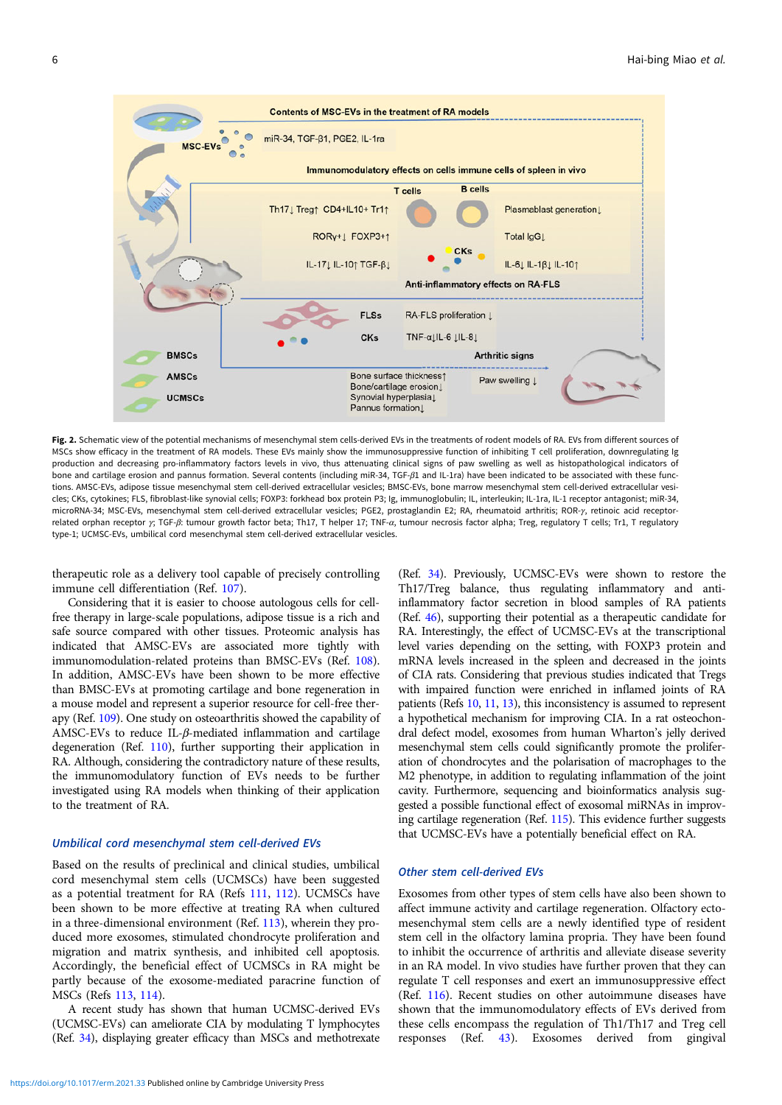<span id="page-5-0"></span>

Fig. 2. Schematic view of the potential mechanisms of mesenchymal stem cells-derived EVs in the treatments of rodent models of RA. EVs from different sources of MSCs show efficacy in the treatment of RA models. These EVs mainly show the immunosuppressive function of inhibiting T cell proliferation, downregulating Ig production and decreasing pro-inflammatory factors levels in vivo, thus attenuating clinical signs of paw swelling as well as histopathological indicators of bone and cartilage erosion and pannus formation. Several contents (including miR-34, TGF-β1 and IL-1ra) have been indicated to be associated with these functions. AMSC-EVs, adipose tissue mesenchymal stem cell-derived extracellular vesicles; BMSC-EVs, bone marrow mesenchymal stem cell-derived extracellular vesicles; CKs, cytokines; FLS, fibroblast-like synovial cells; FOXP3: forkhead box protein P3; Ig, immunoglobulin; IL, interleukin; IL-1ra, IL-1 receptor antagonist; miR-34, microRNA-34; MSC-EVs, mesenchymal stem cell-derived extracellular vesicles; PGE2, prostaglandin E2; RA, rheumatoid arthritis; ROR- $\gamma$ , retinoic acid receptorrelated orphan receptor γ; TGF-β: tumour growth factor beta; Th17, T helper 17; TNF-α, tumour necrosis factor alpha; Treg, regulatory T cells; Tr1, T regulatory type-1; UCMSC-EVs, umbilical cord mesenchymal stem cell-derived extracellular vesicles.

therapeutic role as a delivery tool capable of precisely controlling immune cell differentiation (Ref. [107](#page-10-0)).

Considering that it is easier to choose autologous cells for cellfree therapy in large-scale populations, adipose tissue is a rich and safe source compared with other tissues. Proteomic analysis has indicated that AMSC-EVs are associated more tightly with immunomodulation-related proteins than BMSC-EVs (Ref. [108\)](#page-10-0). In addition, AMSC-EVs have been shown to be more effective than BMSC-EVs at promoting cartilage and bone regeneration in a mouse model and represent a superior resource for cell-free therapy (Ref. [109](#page-10-0)). One study on osteoarthritis showed the capability of AMSC-EVs to reduce IL-β-mediated inflammation and cartilage degeneration (Ref. [110\)](#page-10-0), further supporting their application in RA. Although, considering the contradictory nature of these results, the immunomodulatory function of EVs needs to be further investigated using RA models when thinking of their application to the treatment of RA.

## Umbilical cord mesenchymal stem cell-derived EVs

Based on the results of preclinical and clinical studies, umbilical cord mesenchymal stem cells (UCMSCs) have been suggested as a potential treatment for RA (Refs [111,](#page-10-0) [112](#page-10-0)). UCMSCs have been shown to be more effective at treating RA when cultured in a three-dimensional environment (Ref. [113\)](#page-10-0), wherein they produced more exosomes, stimulated chondrocyte proliferation and migration and matrix synthesis, and inhibited cell apoptosis. Accordingly, the beneficial effect of UCMSCs in RA might be partly because of the exosome-mediated paracrine function of MSCs (Refs [113](#page-10-0), [114](#page-10-0)).

A recent study has shown that human UCMSC-derived EVs (UCMSC-EVs) can ameliorate CIA by modulating T lymphocytes (Ref. [34](#page-8-0)), displaying greater efficacy than MSCs and methotrexate

<https://doi.org/10.1017/erm.2021.33>Published online by Cambridge University Press

(Ref. [34\)](#page-8-0). Previously, UCMSC-EVs were shown to restore the Th17/Treg balance, thus regulating inflammatory and antiinflammatory factor secretion in blood samples of RA patients (Ref. [46\)](#page-9-0), supporting their potential as a therapeutic candidate for RA. Interestingly, the effect of UCMSC-EVs at the transcriptional level varies depending on the setting, with FOXP3 protein and mRNA levels increased in the spleen and decreased in the joints of CIA rats. Considering that previous studies indicated that Tregs with impaired function were enriched in inflamed joints of RA patients (Refs [10](#page-8-0), [11,](#page-8-0) [13](#page-8-0)), this inconsistency is assumed to represent a hypothetical mechanism for improving CIA. In a rat osteochondral defect model, exosomes from human Wharton's jelly derived mesenchymal stem cells could significantly promote the proliferation of chondrocytes and the polarisation of macrophages to the M2 phenotype, in addition to regulating inflammation of the joint cavity. Furthermore, sequencing and bioinformatics analysis suggested a possible functional effect of exosomal miRNAs in improving cartilage regeneration (Ref. [115\)](#page-10-0). This evidence further suggests that UCMSC-EVs have a potentially beneficial effect on RA.

### Other stem cell-derived EVs

Exosomes from other types of stem cells have also been shown to affect immune activity and cartilage regeneration. Olfactory ectomesenchymal stem cells are a newly identified type of resident stem cell in the olfactory lamina propria. They have been found to inhibit the occurrence of arthritis and alleviate disease severity in an RA model. In vivo studies have further proven that they can regulate T cell responses and exert an immunosuppressive effect (Ref. [116](#page-10-0)). Recent studies on other autoimmune diseases have shown that the immunomodulatory effects of EVs derived from these cells encompass the regulation of Th1/Th17 and Treg cell responses (Ref. [43\)](#page-9-0). Exosomes derived from gingival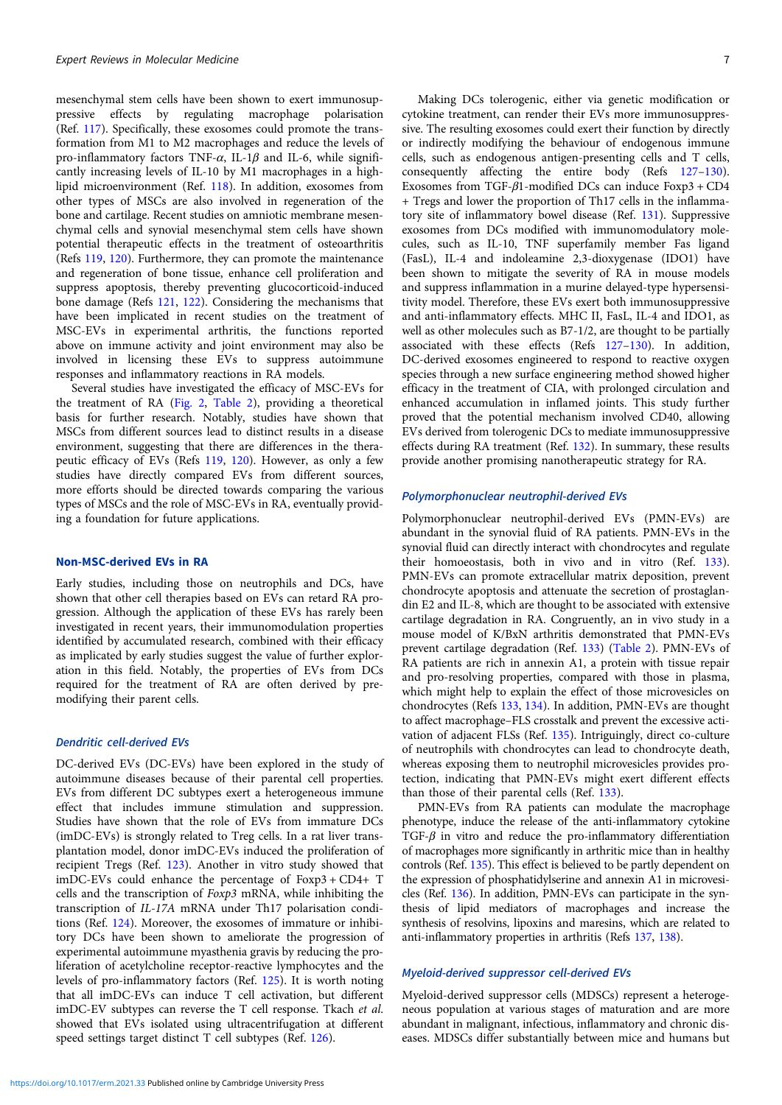mesenchymal stem cells have been shown to exert immunosuppressive effects by regulating macrophage polarisation (Ref. [117](#page-10-0)). Specifically, these exosomes could promote the transformation from M1 to M2 macrophages and reduce the levels of pro-inflammatory factors TNF- $\alpha$ , IL-1 $\beta$  and IL-6, while significantly increasing levels of IL-10 by M1 macrophages in a highlipid microenvironment (Ref. [118](#page-10-0)). In addition, exosomes from other types of MSCs are also involved in regeneration of the bone and cartilage. Recent studies on amniotic membrane mesenchymal cells and synovial mesenchymal stem cells have shown potential therapeutic effects in the treatment of osteoarthritis (Refs [119](#page-10-0), [120\)](#page-10-0). Furthermore, they can promote the maintenance and regeneration of bone tissue, enhance cell proliferation and suppress apoptosis, thereby preventing glucocorticoid-induced bone damage (Refs [121,](#page-10-0) [122\)](#page-10-0). Considering the mechanisms that have been implicated in recent studies on the treatment of MSC-EVs in experimental arthritis, the functions reported above on immune activity and joint environment may also be involved in licensing these EVs to suppress autoimmune responses and inflammatory reactions in RA models.

Several studies have investigated the efficacy of MSC-EVs for the treatment of RA ([Fig. 2,](#page-5-0) [Table 2\)](#page-7-0), providing a theoretical basis for further research. Notably, studies have shown that MSCs from different sources lead to distinct results in a disease environment, suggesting that there are differences in the therapeutic efficacy of EVs (Refs [119,](#page-10-0) [120\)](#page-10-0). However, as only a few studies have directly compared EVs from different sources, more efforts should be directed towards comparing the various types of MSCs and the role of MSC-EVs in RA, eventually providing a foundation for future applications.

#### Non-MSC-derived EVs in RA

Early studies, including those on neutrophils and DCs, have shown that other cell therapies based on EVs can retard RA progression. Although the application of these EVs has rarely been investigated in recent years, their immunomodulation properties identified by accumulated research, combined with their efficacy as implicated by early studies suggest the value of further exploration in this field. Notably, the properties of EVs from DCs required for the treatment of RA are often derived by premodifying their parent cells.

## Dendritic cell-derived EVs

DC-derived EVs (DC-EVs) have been explored in the study of autoimmune diseases because of their parental cell properties. EVs from different DC subtypes exert a heterogeneous immune effect that includes immune stimulation and suppression. Studies have shown that the role of EVs from immature DCs (imDC-EVs) is strongly related to Treg cells. In a rat liver transplantation model, donor imDC-EVs induced the proliferation of recipient Tregs (Ref. [123\)](#page-10-0). Another in vitro study showed that imDC-EVs could enhance the percentage of Foxp3 + CD4+ T cells and the transcription of Foxp3 mRNA, while inhibiting the transcription of IL-17A mRNA under Th17 polarisation conditions (Ref. [124\)](#page-10-0). Moreover, the exosomes of immature or inhibitory DCs have been shown to ameliorate the progression of experimental autoimmune myasthenia gravis by reducing the proliferation of acetylcholine receptor-reactive lymphocytes and the levels of pro-inflammatory factors (Ref. [125\)](#page-10-0). It is worth noting that all imDC-EVs can induce T cell activation, but different imDC-EV subtypes can reverse the T cell response. Tkach et al. showed that EVs isolated using ultracentrifugation at different speed settings target distinct T cell subtypes (Ref. [126](#page-10-0)).

Making DCs tolerogenic, either via genetic modification or cytokine treatment, can render their EVs more immunosuppressive. The resulting exosomes could exert their function by directly or indirectly modifying the behaviour of endogenous immune cells, such as endogenous antigen-presenting cells and T cells, consequently affecting the entire body (Refs [127](#page-10-0)–[130](#page-10-0)). Exosomes from TGF-β1-modified DCs can induce Foxp3 + CD4 + Tregs and lower the proportion of Th17 cells in the inflammatory site of inflammatory bowel disease (Ref. [131](#page-10-0)). Suppressive exosomes from DCs modified with immunomodulatory molecules, such as IL-10, TNF superfamily member Fas ligand (FasL), IL-4 and indoleamine 2,3-dioxygenase (IDO1) have been shown to mitigate the severity of RA in mouse models and suppress inflammation in a murine delayed-type hypersensitivity model. Therefore, these EVs exert both immunosuppressive and anti-inflammatory effects. MHC II, FasL, IL-4 and IDO1, as well as other molecules such as B7-1/2, are thought to be partially associated with these effects (Refs [127](#page-10-0)–[130\)](#page-10-0). In addition, DC-derived exosomes engineered to respond to reactive oxygen species through a new surface engineering method showed higher efficacy in the treatment of CIA, with prolonged circulation and enhanced accumulation in inflamed joints. This study further proved that the potential mechanism involved CD40, allowing EVs derived from tolerogenic DCs to mediate immunosuppressive effects during RA treatment (Ref. [132\)](#page-11-0). In summary, these results provide another promising nanotherapeutic strategy for RA.

#### Polymorphonuclear neutrophil-derived EVs

Polymorphonuclear neutrophil-derived EVs (PMN-EVs) are abundant in the synovial fluid of RA patients. PMN-EVs in the synovial fluid can directly interact with chondrocytes and regulate their homoeostasis, both in vivo and in vitro (Ref. [133](#page-11-0)). PMN-EVs can promote extracellular matrix deposition, prevent chondrocyte apoptosis and attenuate the secretion of prostaglandin E2 and IL-8, which are thought to be associated with extensive cartilage degradation in RA. Congruently, an in vivo study in a mouse model of K/BxN arthritis demonstrated that PMN-EVs prevent cartilage degradation (Ref. [133\)](#page-11-0) ([Table 2\)](#page-7-0). PMN-EVs of RA patients are rich in annexin A1, a protein with tissue repair and pro-resolving properties, compared with those in plasma, which might help to explain the effect of those microvesicles on chondrocytes (Refs [133,](#page-11-0) [134](#page-11-0)). In addition, PMN-EVs are thought to affect macrophage–FLS crosstalk and prevent the excessive activation of adjacent FLSs (Ref. [135\)](#page-11-0). Intriguingly, direct co-culture of neutrophils with chondrocytes can lead to chondrocyte death, whereas exposing them to neutrophil microvesicles provides protection, indicating that PMN-EVs might exert different effects than those of their parental cells (Ref. [133\)](#page-11-0).

PMN-EVs from RA patients can modulate the macrophage phenotype, induce the release of the anti-inflammatory cytokine TGF- $\beta$  in vitro and reduce the pro-inflammatory differentiation of macrophages more significantly in arthritic mice than in healthy controls (Ref. [135](#page-11-0)). This effect is believed to be partly dependent on the expression of phosphatidylserine and annexin A1 in microvesicles (Ref. [136\)](#page-11-0). In addition, PMN-EVs can participate in the synthesis of lipid mediators of macrophages and increase the synthesis of resolvins, lipoxins and maresins, which are related to anti-inflammatory properties in arthritis (Refs [137](#page-11-0), [138\)](#page-11-0).

## Myeloid-derived suppressor cell-derived EVs

Myeloid-derived suppressor cells (MDSCs) represent a heterogeneous population at various stages of maturation and are more abundant in malignant, infectious, inflammatory and chronic diseases. MDSCs differ substantially between mice and humans but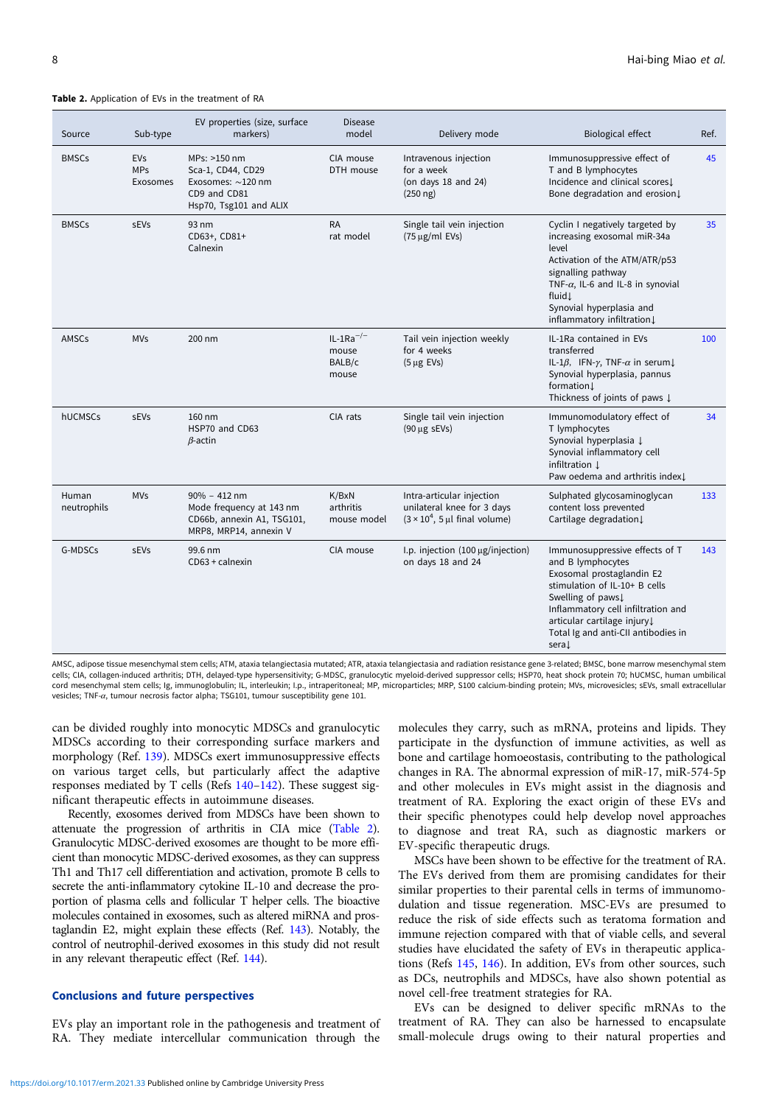#### <span id="page-7-0"></span>Table 2. Application of EVs in the treatment of RA

| Source               | Sub-type                             | EV properties (size, surface<br>markers)                                                               | <b>Disease</b><br>model                    | Delivery mode                                                                                              | Biological effect                                                                                                                                                                                                                                            | Ref. |
|----------------------|--------------------------------------|--------------------------------------------------------------------------------------------------------|--------------------------------------------|------------------------------------------------------------------------------------------------------------|--------------------------------------------------------------------------------------------------------------------------------------------------------------------------------------------------------------------------------------------------------------|------|
| <b>BMSCs</b>         | <b>EVs</b><br><b>MPs</b><br>Exosomes | MPs: >150 nm<br>Sca-1, CD44, CD29<br>Exosomes: $\sim$ 120 nm<br>CD9 and CD81<br>Hsp70, Tsg101 and ALIX | CIA mouse<br>DTH mouse                     | Intravenous injection<br>for a week<br>(on days $18$ and $24$ )<br>$(250 \text{ ng})$                      | Immunosuppressive effect of<br>T and B lymphocytes<br>Incidence and clinical scores!<br>Bone degradation and erosion!                                                                                                                                        | 45   |
| <b>BMSCs</b>         | sEVs                                 | 93 nm<br>CD63+, CD81+<br>Calnexin                                                                      | <b>RA</b><br>rat model                     | Single tail vein injection<br>$(75 \,\mu g/ml \,$ EVs)                                                     | Cyclin I negatively targeted by<br>increasing exosomal miR-34a<br>level<br>Activation of the ATM/ATR/p53<br>signalling pathway<br>TNF- $\alpha$ , IL-6 and IL-8 in synovial<br>fluid L<br>Synovial hyperplasia and<br>inflammatory infiltration!             | 35   |
| <b>AMSCs</b>         | <b>MVs</b>                           | 200 nm                                                                                                 | $IL-1Ra^{-/-}$<br>mouse<br>BALB/c<br>mouse | Tail vein injection weekly<br>for 4 weeks<br>$(5 \mu g$ EVs)                                               | IL-1Ra contained in EVs<br>transferred<br>IL-1 $\beta$ , IFN- $\gamma$ , TNF- $\alpha$ in serum $\downarrow$<br>Synovial hyperplasia, pannus<br>formation1<br>Thickness of joints of paws $\downarrow$                                                       | 100  |
| <b>hUCMSCs</b>       | sEVs                                 | 160 nm<br>HSP70 and CD63<br>$\beta$ -actin                                                             | CIA rats                                   | Single tail vein injection<br>$(90 \mu g \text{ sEVs})$                                                    | Immunomodulatory effect of<br>T lymphocytes<br>Synovial hyperplasia ↓<br>Synovial inflammatory cell<br>infiltration 1<br>Paw oedema and arthritis index.                                                                                                     | 34   |
| Human<br>neutrophils | <b>MVs</b>                           | $90\% - 412$ nm<br>Mode frequency at 143 nm<br>CD66b, annexin A1, TSG101,<br>MRP8, MRP14, annexin V    | K/BxN<br>arthritis<br>mouse model          | Intra-articular injection<br>unilateral knee for 3 days<br>$(3 \times 10^4, 5 \,\mu\text{J}$ final volume) | Sulphated glycosaminoglycan<br>content loss prevented<br>Cartilage degradation!                                                                                                                                                                              | 133  |
| G-MDSCs              | <b>sEVs</b>                          | 99.6 nm<br>CD63 + calnexin                                                                             | CIA mouse                                  | I.p. injection (100 µg/injection)<br>on days 18 and 24                                                     | Immunosuppressive effects of T<br>and B lymphocytes<br>Exosomal prostaglandin E2<br>stimulation of IL-10+ B cells<br>Swelling of paws L<br>Inflammatory cell infiltration and<br>articular cartilage injury!<br>Total Ig and anti-CII antibodies in<br>seral | 143  |

AMSC, adipose tissue mesenchymal stem cells; ATM, ataxia telangiectasia mutated; ATR, ataxia telangiectasia and radiation resistance gene 3-related; BMSC, bone marrow mesenchymal stem cells; CIA, collagen-induced arthritis; DTH, delayed-type hypersensitivity; G-MDSC, granulocytic myeloid-derived suppressor cells; HSP70, heat shock protein 70; hUCMSC, human umbilical cord mesenchymal stem cells; Ig, immunoglobulin; IL, interleukin; I.p., intraperitoneal; MP, microparticles; MRP, S100 calcium-binding protein; MVs, microvesicles; sEVs, small extracellular vesicles; TNF-α, tumour necrosis factor alpha; TSG101, tumour susceptibility gene 101.

can be divided roughly into monocytic MDSCs and granulocytic MDSCs according to their corresponding surface markers and morphology (Ref. [139\)](#page-11-0). MDSCs exert immunosuppressive effects on various target cells, but particularly affect the adaptive responses mediated by T cells (Refs [140](#page-11-0)–[142\)](#page-11-0). These suggest significant therapeutic effects in autoimmune diseases.

Recently, exosomes derived from MDSCs have been shown to attenuate the progression of arthritis in CIA mice (Table 2). Granulocytic MDSC-derived exosomes are thought to be more efficient than monocytic MDSC-derived exosomes, as they can suppress Th1 and Th17 cell differentiation and activation, promote B cells to secrete the anti-inflammatory cytokine IL-10 and decrease the proportion of plasma cells and follicular T helper cells. The bioactive molecules contained in exosomes, such as altered miRNA and prostaglandin E2, might explain these effects (Ref. [143](#page-11-0)). Notably, the control of neutrophil-derived exosomes in this study did not result in any relevant therapeutic effect (Ref. [144](#page-11-0)).

## Conclusions and future perspectives

EVs play an important role in the pathogenesis and treatment of RA. They mediate intercellular communication through the

molecules they carry, such as mRNA, proteins and lipids. They participate in the dysfunction of immune activities, as well as bone and cartilage homoeostasis, contributing to the pathological changes in RA. The abnormal expression of miR-17, miR-574-5p and other molecules in EVs might assist in the diagnosis and treatment of RA. Exploring the exact origin of these EVs and their specific phenotypes could help develop novel approaches to diagnose and treat RA, such as diagnostic markers or EV-specific therapeutic drugs.

MSCs have been shown to be effective for the treatment of RA. The EVs derived from them are promising candidates for their similar properties to their parental cells in terms of immunomodulation and tissue regeneration. MSC-EVs are presumed to reduce the risk of side effects such as teratoma formation and immune rejection compared with that of viable cells, and several studies have elucidated the safety of EVs in therapeutic applications (Refs [145](#page-11-0), [146\)](#page-11-0). In addition, EVs from other sources, such as DCs, neutrophils and MDSCs, have also shown potential as novel cell-free treatment strategies for RA.

EVs can be designed to deliver specific mRNAs to the treatment of RA. They can also be harnessed to encapsulate small-molecule drugs owing to their natural properties and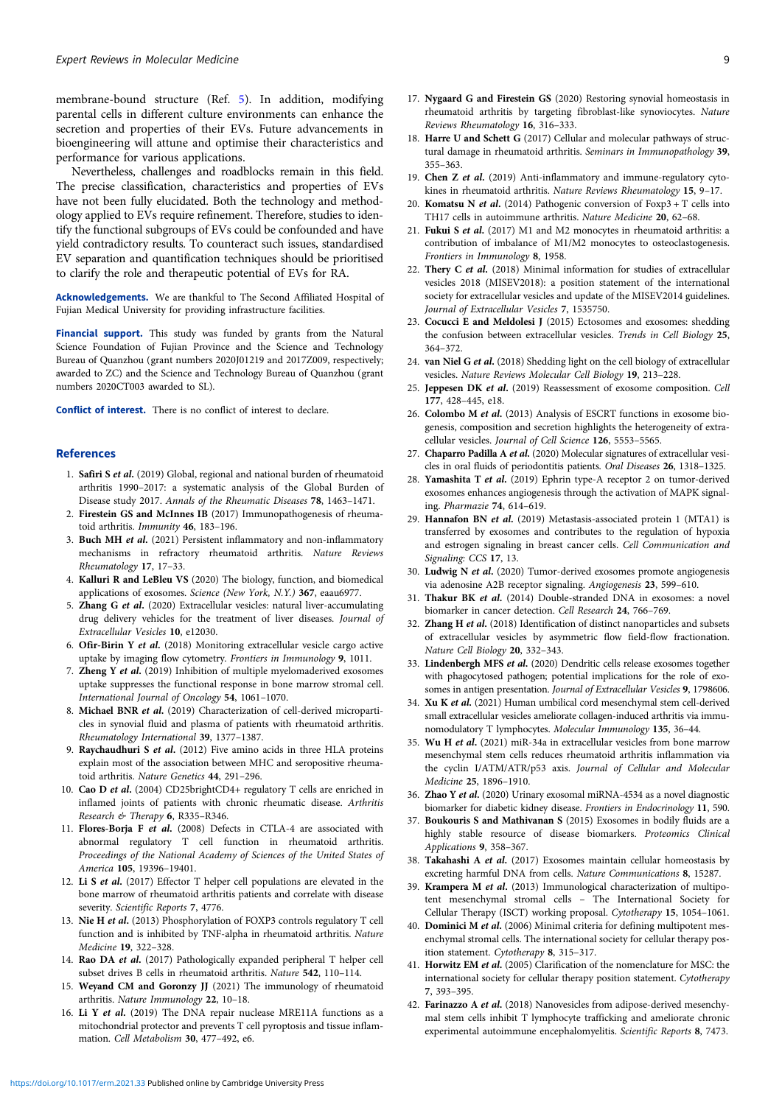<span id="page-8-0"></span>membrane-bound structure (Ref. 5). In addition, modifying parental cells in different culture environments can enhance the secretion and properties of their EVs. Future advancements in bioengineering will attune and optimise their characteristics and performance for various applications.

Nevertheless, challenges and roadblocks remain in this field. The precise classification, characteristics and properties of EVs have not been fully elucidated. Both the technology and methodology applied to EVs require refinement. Therefore, studies to identify the functional subgroups of EVs could be confounded and have yield contradictory results. To counteract such issues, standardised EV separation and quantification techniques should be prioritised to clarify the role and therapeutic potential of EVs for RA.

Acknowledgements. We are thankful to The Second Affiliated Hospital of Fujian Medical University for providing infrastructure facilities.

Financial support. This study was funded by grants from the Natural Science Foundation of Fujian Province and the Science and Technology Bureau of Quanzhou (grant numbers 2020J01219 and 2017Z009, respectively; awarded to ZC) and the Science and Technology Bureau of Quanzhou (grant numbers 2020CT003 awarded to SL).

Conflict of interest. There is no conflict of interest to declare.

## References

- 1. Safiri S et al. (2019) Global, regional and national burden of rheumatoid arthritis 1990–2017: a systematic analysis of the Global Burden of Disease study 2017. Annals of the Rheumatic Diseases 78, 1463–1471.
- 2. Firestein GS and McInnes IB (2017) Immunopathogenesis of rheumatoid arthritis. Immunity 46, 183–196.
- 3. Buch MH et al. (2021) Persistent inflammatory and non-inflammatory mechanisms in refractory rheumatoid arthritis. Nature Reviews Rheumatology 17, 17–33.
- 4. Kalluri R and LeBleu VS (2020) The biology, function, and biomedical applications of exosomes. Science (New York, N.Y.) 367, eaau6977.
- 5. Zhang G et al. (2020) Extracellular vesicles: natural liver-accumulating drug delivery vehicles for the treatment of liver diseases. Journal of Extracellular Vesicles 10, e12030.
- 6. Ofir-Birin Y et al. (2018) Monitoring extracellular vesicle cargo active uptake by imaging flow cytometry. Frontiers in Immunology 9, 1011.
- 7. Zheng Y et al. (2019) Inhibition of multiple myelomaderived exosomes uptake suppresses the functional response in bone marrow stromal cell. International Journal of Oncology 54, 1061–1070.
- 8. Michael BNR et al. (2019) Characterization of cell-derived microparticles in synovial fluid and plasma of patients with rheumatoid arthritis. Rheumatology International 39, 1377–1387.
- 9. Raychaudhuri S et al. (2012) Five amino acids in three HLA proteins explain most of the association between MHC and seropositive rheumatoid arthritis. Nature Genetics 44, 291–296.
- 10. Cao D et al. (2004) CD25brightCD4+ regulatory T cells are enriched in inflamed joints of patients with chronic rheumatic disease. Arthritis Research & Therapy 6, R335–R346.
- 11. Flores-Borja F et al. (2008) Defects in CTLA-4 are associated with abnormal regulatory T cell function in rheumatoid arthritis. Proceedings of the National Academy of Sciences of the United States of America 105, 19396–19401.
- 12. Li S et al. (2017) Effector T helper cell populations are elevated in the bone marrow of rheumatoid arthritis patients and correlate with disease severity. Scientific Reports 7, 4776.
- 13. Nie H et al. (2013) Phosphorylation of FOXP3 controls regulatory T cell function and is inhibited by TNF-alpha in rheumatoid arthritis. Nature Medicine 19, 322–328.
- 14. Rao DA et al. (2017) Pathologically expanded peripheral T helper cell subset drives B cells in rheumatoid arthritis. Nature 542, 110–114.
- 15. Weyand CM and Goronzy JJ (2021) The immunology of rheumatoid arthritis. Nature Immunology 22, 10–18.
- 16. Li Y et al. (2019) The DNA repair nuclease MRE11A functions as a mitochondrial protector and prevents T cell pyroptosis and tissue inflammation. Cell Metabolism 30, 477–492, e6.
- 17. Nygaard G and Firestein GS (2020) Restoring synovial homeostasis in rheumatoid arthritis by targeting fibroblast-like synoviocytes. Nature Reviews Rheumatology 16, 316–333.
- 18. Harre U and Schett G (2017) Cellular and molecular pathways of structural damage in rheumatoid arthritis. Seminars in Immunopathology 39, 355–363.
- 19. Chen Z et al. (2019) Anti-inflammatory and immune-regulatory cytokines in rheumatoid arthritis. Nature Reviews Rheumatology 15, 9–17.
- 20. Komatsu N et al. (2014) Pathogenic conversion of Foxp3 + T cells into TH17 cells in autoimmune arthritis. Nature Medicine 20, 62–68.
- 21. Fukui S et al. (2017) M1 and M2 monocytes in rheumatoid arthritis: a contribution of imbalance of M1/M2 monocytes to osteoclastogenesis. Frontiers in Immunology 8, 1958.
- 22. Thery C et al. (2018) Minimal information for studies of extracellular vesicles 2018 (MISEV2018): a position statement of the international society for extracellular vesicles and update of the MISEV2014 guidelines. Journal of Extracellular Vesicles 7, 1535750.
- 23. Cocucci E and Meldolesi J (2015) Ectosomes and exosomes: shedding the confusion between extracellular vesicles. Trends in Cell Biology 25, 364–372.
- 24. van Niel G et al. (2018) Shedding light on the cell biology of extracellular vesicles. Nature Reviews Molecular Cell Biology 19, 213–228.
- 25. Jeppesen DK et al. (2019) Reassessment of exosome composition. Cell 177, 428–445, e18.
- 26. Colombo M et al. (2013) Analysis of ESCRT functions in exosome biogenesis, composition and secretion highlights the heterogeneity of extracellular vesicles. Journal of Cell Science 126, 5553–5565.
- 27. Chaparro Padilla A et al. (2020) Molecular signatures of extracellular vesicles in oral fluids of periodontitis patients. Oral Diseases 26, 1318–1325.
- 28. Yamashita T et al. (2019) Ephrin type-A receptor 2 on tumor-derived exosomes enhances angiogenesis through the activation of MAPK signaling. Pharmazie 74, 614–619.
- 29. Hannafon BN et al. (2019) Metastasis-associated protein 1 (MTA1) is transferred by exosomes and contributes to the regulation of hypoxia and estrogen signaling in breast cancer cells. Cell Communication and Signaling: CCS 17, 13.
- 30. Ludwig N et al. (2020) Tumor-derived exosomes promote angiogenesis via adenosine A2B receptor signaling. Angiogenesis 23, 599–610.
- 31. Thakur BK et al. (2014) Double-stranded DNA in exosomes: a novel biomarker in cancer detection. Cell Research 24, 766–769.
- 32. Zhang H et al. (2018) Identification of distinct nanoparticles and subsets of extracellular vesicles by asymmetric flow field-flow fractionation. Nature Cell Biology 20, 332–343.
- 33. Lindenbergh MFS et al. (2020) Dendritic cells release exosomes together with phagocytosed pathogen; potential implications for the role of exosomes in antigen presentation. Journal of Extracellular Vesicles 9, 1798606.
- 34. Xu K et al. (2021) Human umbilical cord mesenchymal stem cell-derived small extracellular vesicles ameliorate collagen-induced arthritis via immunomodulatory T lymphocytes. Molecular Immunology 135, 36–44.
- 35. Wu H et al. (2021) miR-34a in extracellular vesicles from bone marrow mesenchymal stem cells reduces rheumatoid arthritis inflammation via the cyclin I/ATM/ATR/p53 axis. Journal of Cellular and Molecular Medicine 25, 1896–1910.
- 36. Zhao Y et al. (2020) Urinary exosomal miRNA-4534 as a novel diagnostic biomarker for diabetic kidney disease. Frontiers in Endocrinology 11, 590.
- 37. Boukouris S and Mathivanan S (2015) Exosomes in bodily fluids are a highly stable resource of disease biomarkers. Proteomics Clinical Applications 9, 358–367.
- 38. Takahashi A et al. (2017) Exosomes maintain cellular homeostasis by excreting harmful DNA from cells. Nature Communications 8, 15287.
- 39. Krampera M et al. (2013) Immunological characterization of multipotent mesenchymal stromal cells – The International Society for Cellular Therapy (ISCT) working proposal. Cytotherapy 15, 1054–1061.
- 40. Dominici M et al. (2006) Minimal criteria for defining multipotent mesenchymal stromal cells. The international society for cellular therapy position statement. Cytotherapy 8, 315–317.
- 41. Horwitz EM et al. (2005) Clarification of the nomenclature for MSC: the international society for cellular therapy position statement. Cytotherapy 7, 393–395.
- 42. Farinazzo A et al. (2018) Nanovesicles from adipose-derived mesenchymal stem cells inhibit T lymphocyte trafficking and ameliorate chronic experimental autoimmune encephalomyelitis. Scientific Reports 8, 7473.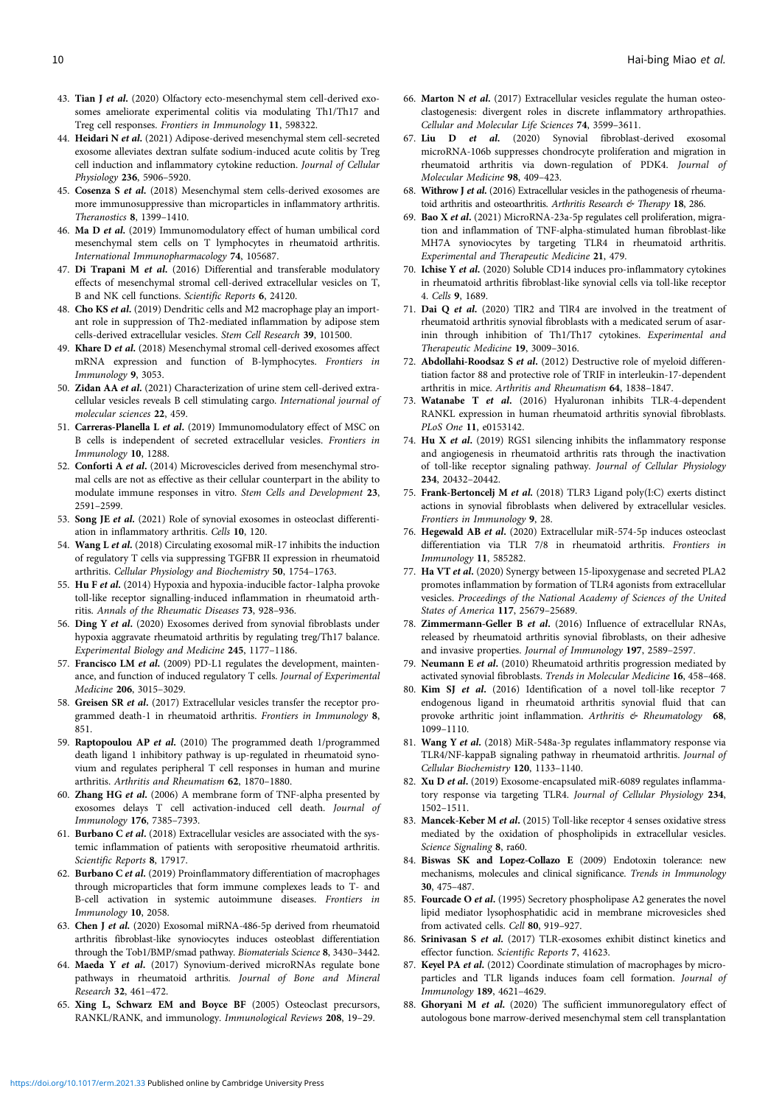- <span id="page-9-0"></span>43. Tian J et al. (2020) Olfactory ecto-mesenchymal stem cell-derived exosomes ameliorate experimental colitis via modulating Th1/Th17 and Treg cell responses. Frontiers in Immunology 11, 598322.
- 44. Heidari N et al. (2021) Adipose-derived mesenchymal stem cell-secreted exosome alleviates dextran sulfate sodium-induced acute colitis by Treg cell induction and inflammatory cytokine reduction. Journal of Cellular Physiology 236, 5906–5920.
- 45. Cosenza S et al. (2018) Mesenchymal stem cells-derived exosomes are more immunosuppressive than microparticles in inflammatory arthritis. Theranostics 8, 1399–1410.
- 46. Ma D et al. (2019) Immunomodulatory effect of human umbilical cord mesenchymal stem cells on T lymphocytes in rheumatoid arthritis. International Immunopharmacology 74, 105687.
- 47. Di Trapani M et al. (2016) Differential and transferable modulatory effects of mesenchymal stromal cell-derived extracellular vesicles on T, B and NK cell functions. Scientific Reports 6, 24120.
- 48. Cho KS et al. (2019) Dendritic cells and M2 macrophage play an important role in suppression of Th2-mediated inflammation by adipose stem cells-derived extracellular vesicles. Stem Cell Research 39, 101500.
- 49. Khare D et al. (2018) Mesenchymal stromal cell-derived exosomes affect mRNA expression and function of B-lymphocytes. Frontiers in Immunology 9, 3053.
- 50. Zidan AA et al. (2021) Characterization of urine stem cell-derived extracellular vesicles reveals B cell stimulating cargo. International journal of molecular sciences 22, 459.
- 51. Carreras-Planella L et al. (2019) Immunomodulatory effect of MSC on B cells is independent of secreted extracellular vesicles. Frontiers in Immunology 10, 1288.
- 52. Conforti A et al. (2014) Microvescicles derived from mesenchymal stromal cells are not as effective as their cellular counterpart in the ability to modulate immune responses in vitro. Stem Cells and Development 23, 2591–2599.
- 53. Song JE et al. (2021) Role of synovial exosomes in osteoclast differentiation in inflammatory arthritis. Cells 10, 120.
- 54. Wang L et al. (2018) Circulating exosomal miR-17 inhibits the induction of regulatory T cells via suppressing TGFBR II expression in rheumatoid arthritis. Cellular Physiology and Biochemistry 50, 1754–1763.
- 55. Hu F et al. (2014) Hypoxia and hypoxia-inducible factor-1alpha provoke toll-like receptor signalling-induced inflammation in rheumatoid arthritis. Annals of the Rheumatic Diseases 73, 928–936.
- 56. Ding Y et al. (2020) Exosomes derived from synovial fibroblasts under hypoxia aggravate rheumatoid arthritis by regulating treg/Th17 balance. Experimental Biology and Medicine 245, 1177–1186.
- 57. Francisco LM et al. (2009) PD-L1 regulates the development, maintenance, and function of induced regulatory T cells. Journal of Experimental Medicine 206, 3015–3029.
- 58. Greisen SR et al. (2017) Extracellular vesicles transfer the receptor programmed death-1 in rheumatoid arthritis. Frontiers in Immunology 8, 851.
- 59. Raptopoulou AP et al. (2010) The programmed death 1/programmed death ligand 1 inhibitory pathway is up-regulated in rheumatoid synovium and regulates peripheral T cell responses in human and murine arthritis. Arthritis and Rheumatism 62, 1870–1880.
- 60. Zhang HG et al. (2006) A membrane form of TNF-alpha presented by exosomes delays T cell activation-induced cell death. Journal of Immunology 176, 7385–7393.
- 61. Burbano C et al. (2018) Extracellular vesicles are associated with the systemic inflammation of patients with seropositive rheumatoid arthritis. Scientific Reports 8, 17917.
- 62. Burbano C et al. (2019) Proinflammatory differentiation of macrophages through microparticles that form immune complexes leads to T- and B-cell activation in systemic autoimmune diseases. Frontiers in Immunology 10, 2058.
- 63. Chen J et al. (2020) Exosomal miRNA-486-5p derived from rheumatoid arthritis fibroblast-like synoviocytes induces osteoblast differentiation through the Tob1/BMP/smad pathway. Biomaterials Science 8, 3430–3442.
- 64. Maeda Y et al. (2017) Synovium-derived microRNAs regulate bone pathways in rheumatoid arthritis. Journal of Bone and Mineral Research 32, 461–472.
- 65. Xing L, Schwarz EM and Boyce BF (2005) Osteoclast precursors, RANKL/RANK, and immunology. Immunological Reviews 208, 19–29.
- 66. Marton N et al. (2017) Extracellular vesicles regulate the human osteoclastogenesis: divergent roles in discrete inflammatory arthropathies. Cellular and Molecular Life Sciences 74, 3599–3611.
- 67. Liu D et al. (2020) Synovial fibroblast-derived exosomal microRNA-106b suppresses chondrocyte proliferation and migration in rheumatoid arthritis via down-regulation of PDK4. Journal of Molecular Medicine 98, 409–423.
- 68. Withrow J et al. (2016) Extracellular vesicles in the pathogenesis of rheumatoid arthritis and osteoarthritis. Arthritis Research & Therapy 18, 286.
- 69. Bao X et al. (2021) MicroRNA-23a-5p regulates cell proliferation, migration and inflammation of TNF-alpha-stimulated human fibroblast-like MH7A synoviocytes by targeting TLR4 in rheumatoid arthritis. Experimental and Therapeutic Medicine 21, 479.
- 70. Ichise Y et al. (2020) Soluble CD14 induces pro-inflammatory cytokines in rheumatoid arthritis fibroblast-like synovial cells via toll-like receptor 4. Cells 9, 1689.
- 71. Dai Q et al. (2020) TlR2 and TlR4 are involved in the treatment of rheumatoid arthritis synovial fibroblasts with a medicated serum of asarinin through inhibition of Th1/Th17 cytokines. Experimental and Therapeutic Medicine 19, 3009–3016.
- 72. Abdollahi-Roodsaz S et al. (2012) Destructive role of myeloid differentiation factor 88 and protective role of TRIF in interleukin-17-dependent arthritis in mice. Arthritis and Rheumatism 64, 1838–1847.
- 73. Watanabe T et al. (2016) Hyaluronan inhibits TLR-4-dependent RANKL expression in human rheumatoid arthritis synovial fibroblasts. PLoS One 11, e0153142.
- 74. Hu X et al. (2019) RGS1 silencing inhibits the inflammatory response and angiogenesis in rheumatoid arthritis rats through the inactivation of toll-like receptor signaling pathway. Journal of Cellular Physiology 234, 20432–20442.
- 75. Frank-Bertoncelj M et al. (2018) TLR3 Ligand poly(I:C) exerts distinct actions in synovial fibroblasts when delivered by extracellular vesicles. Frontiers in Immunology 9, 28.
- 76. Hegewald AB et al. (2020) Extracellular miR-574-5p induces osteoclast differentiation via TLR 7/8 in rheumatoid arthritis. Frontiers in Immunology 11, 585282.
- 77. Ha VT et al. (2020) Synergy between 15-lipoxygenase and secreted PLA2 promotes inflammation by formation of TLR4 agonists from extracellular vesicles. Proceedings of the National Academy of Sciences of the United States of America 117, 25679–25689.
- 78. Zimmermann-Geller B et al. (2016) Influence of extracellular RNAs, released by rheumatoid arthritis synovial fibroblasts, on their adhesive and invasive properties. Journal of Immunology 197, 2589–2597.
- 79. Neumann E et al. (2010) Rheumatoid arthritis progression mediated by activated synovial fibroblasts. Trends in Molecular Medicine 16, 458–468.
- 80. Kim SJ et al. (2016) Identification of a novel toll-like receptor 7 endogenous ligand in rheumatoid arthritis synovial fluid that can provoke arthritic joint inflammation. Arthritis & Rheumatology 68, 1099–1110.
- 81. Wang Y et al. (2018) MiR-548a-3p regulates inflammatory response via TLR4/NF-kappaB signaling pathway in rheumatoid arthritis. Journal of Cellular Biochemistry 120, 1133–1140.
- 82. Xu D et al. (2019) Exosome-encapsulated miR-6089 regulates inflammatory response via targeting TLR4. Journal of Cellular Physiology 234, 1502–1511.
- 83. Mancek-Keber M et al. (2015) Toll-like receptor 4 senses oxidative stress mediated by the oxidation of phospholipids in extracellular vesicles. Science Signaling 8, ra60.
- 84. Biswas SK and Lopez-Collazo E (2009) Endotoxin tolerance: new mechanisms, molecules and clinical significance. Trends in Immunology 30, 475–487.
- 85. Fourcade O et al. (1995) Secretory phospholipase A2 generates the novel lipid mediator lysophosphatidic acid in membrane microvesicles shed from activated cells. Cell 80, 919–927.
- 86. Srinivasan S et al. (2017) TLR-exosomes exhibit distinct kinetics and effector function. Scientific Reports 7, 41623.
- 87. Keyel PA et al. (2012) Coordinate stimulation of macrophages by microparticles and TLR ligands induces foam cell formation. Journal of Immunology 189, 4621–4629.
- 88. Ghoryani M et al. (2020) The sufficient immunoregulatory effect of autologous bone marrow-derived mesenchymal stem cell transplantation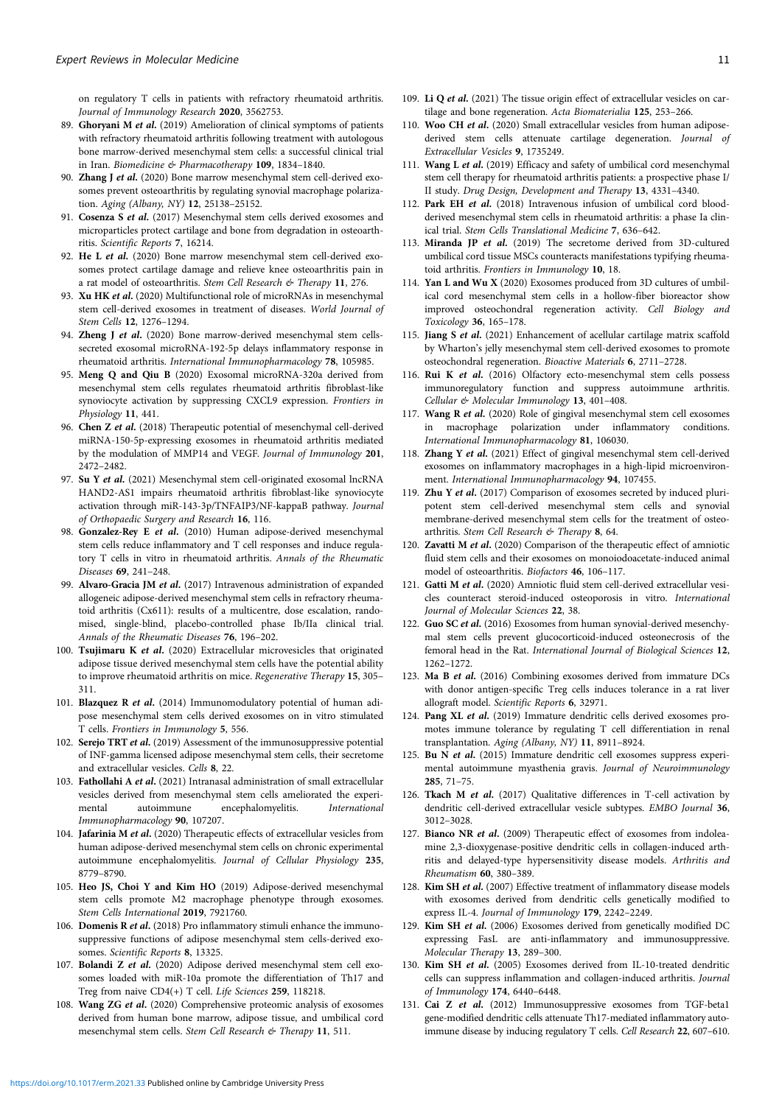<span id="page-10-0"></span>on regulatory T cells in patients with refractory rheumatoid arthritis. Journal of Immunology Research 2020, 3562753.

- 89. Ghoryani M et al. (2019) Amelioration of clinical symptoms of patients with refractory rheumatoid arthritis following treatment with autologous bone marrow-derived mesenchymal stem cells: a successful clinical trial in Iran. Biomedicine & Pharmacotherapy 109, 1834-1840.
- 90. Zhang J et al. (2020) Bone marrow mesenchymal stem cell-derived exosomes prevent osteoarthritis by regulating synovial macrophage polarization. Aging (Albany, NY) 12, 25138–25152.
- 91. Cosenza S et al. (2017) Mesenchymal stem cells derived exosomes and microparticles protect cartilage and bone from degradation in osteoarthritis. Scientific Reports 7, 16214.
- 92. He L et al. (2020) Bone marrow mesenchymal stem cell-derived exosomes protect cartilage damage and relieve knee osteoarthritis pain in a rat model of osteoarthritis. Stem Cell Research & Therapy 11, 276.
- 93. Xu HK et al. (2020) Multifunctional role of microRNAs in mesenchymal stem cell-derived exosomes in treatment of diseases. World Journal of Stem Cells 12, 1276–1294.
- 94. Zheng J et al. (2020) Bone marrow-derived mesenchymal stem cellssecreted exosomal microRNA-192-5p delays inflammatory response in rheumatoid arthritis. International Immunopharmacology 78, 105985.
- 95. Meng Q and Qiu B (2020) Exosomal microRNA-320a derived from mesenchymal stem cells regulates rheumatoid arthritis fibroblast-like synoviocyte activation by suppressing CXCL9 expression. Frontiers in Physiology 11, 441.
- 96. Chen Z et al. (2018) Therapeutic potential of mesenchymal cell-derived miRNA-150-5p-expressing exosomes in rheumatoid arthritis mediated by the modulation of MMP14 and VEGF. Journal of Immunology 201, 2472–2482.
- 97. Su Y et al. (2021) Mesenchymal stem cell-originated exosomal lncRNA HAND2-AS1 impairs rheumatoid arthritis fibroblast-like synoviocyte activation through miR-143-3p/TNFAIP3/NF-kappaB pathway. Journal of Orthopaedic Surgery and Research 16, 116.
- 98. Gonzalez-Rey E et al. (2010) Human adipose-derived mesenchymal stem cells reduce inflammatory and T cell responses and induce regulatory T cells in vitro in rheumatoid arthritis. Annals of the Rheumatic Diseases 69, 241–248.
- 99. Alvaro-Gracia JM et al. (2017) Intravenous administration of expanded allogeneic adipose-derived mesenchymal stem cells in refractory rheumatoid arthritis (Cx611): results of a multicentre, dose escalation, randomised, single-blind, placebo-controlled phase Ib/IIa clinical trial. Annals of the Rheumatic Diseases 76, 196–202.
- 100. Tsujimaru K et al. (2020) Extracellular microvesicles that originated adipose tissue derived mesenchymal stem cells have the potential ability to improve rheumatoid arthritis on mice. Regenerative Therapy 15, 305– 311.
- 101. Blazquez R et al. (2014) Immunomodulatory potential of human adipose mesenchymal stem cells derived exosomes on in vitro stimulated T cells. Frontiers in Immunology 5, 556.
- 102. Serejo TRT et al. (2019) Assessment of the immunosuppressive potential of INF-gamma licensed adipose mesenchymal stem cells, their secretome and extracellular vesicles. Cells 8, 22.
- 103. Fathollahi A et al. (2021) Intranasal administration of small extracellular vesicles derived from mesenchymal stem cells ameliorated the experimental autoimmune encephalomyelitis. International Immunopharmacology 90, 107207.
- 104. Jafarinia M et al. (2020) Therapeutic effects of extracellular vesicles from human adipose-derived mesenchymal stem cells on chronic experimental autoimmune encephalomyelitis. Journal of Cellular Physiology 235, 8779–8790.
- 105. Heo JS, Choi Y and Kim HO (2019) Adipose-derived mesenchymal stem cells promote M2 macrophage phenotype through exosomes. Stem Cells International 2019, 7921760.
- 106. Domenis R et al. (2018) Pro inflammatory stimuli enhance the immunosuppressive functions of adipose mesenchymal stem cells-derived exosomes. Scientific Reports 8, 13325.
- 107. Bolandi Z et al. (2020) Adipose derived mesenchymal stem cell exosomes loaded with miR-10a promote the differentiation of Th17 and Treg from naive CD4(+) T cell. Life Sciences 259, 118218.
- 108. Wang ZG et al. (2020) Comprehensive proteomic analysis of exosomes derived from human bone marrow, adipose tissue, and umbilical cord mesenchymal stem cells. Stem Cell Research & Therapy 11, 511.
- 109. Li Q et al. (2021) The tissue origin effect of extracellular vesicles on cartilage and bone regeneration. Acta Biomaterialia 125, 253–266.
- 110. Woo CH et al. (2020) Small extracellular vesicles from human adiposederived stem cells attenuate cartilage degeneration. Journal of Extracellular Vesicles 9, 1735249.
- 111. Wang L et al. (2019) Efficacy and safety of umbilical cord mesenchymal stem cell therapy for rheumatoid arthritis patients: a prospective phase I/ II study. Drug Design, Development and Therapy 13, 4331–4340.
- 112. Park EH et al. (2018) Intravenous infusion of umbilical cord bloodderived mesenchymal stem cells in rheumatoid arthritis: a phase Ia clinical trial. Stem Cells Translational Medicine 7, 636–642.
- 113. Miranda JP et al. (2019) The secretome derived from 3D-cultured umbilical cord tissue MSCs counteracts manifestations typifying rheumatoid arthritis. Frontiers in Immunology 10, 18.
- 114. Yan L and Wu X (2020) Exosomes produced from 3D cultures of umbilical cord mesenchymal stem cells in a hollow-fiber bioreactor show improved osteochondral regeneration activity. Cell Biology and Toxicology 36, 165–178.
- 115. Jiang S et al. (2021) Enhancement of acellular cartilage matrix scaffold by Wharton's jelly mesenchymal stem cell-derived exosomes to promote osteochondral regeneration. Bioactive Materials 6, 2711–2728.
- 116. Rui K et al. (2016) Olfactory ecto-mesenchymal stem cells possess immunoregulatory function and suppress autoimmune arthritis. Cellular & Molecular Immunology 13, 401–408.
- 117. Wang R et al. (2020) Role of gingival mesenchymal stem cell exosomes in macrophage polarization under inflammatory conditions. International Immunopharmacology 81, 106030.
- 118. Zhang Y et al. (2021) Effect of gingival mesenchymal stem cell-derived exosomes on inflammatory macrophages in a high-lipid microenvironment. International Immunopharmacology 94, 107455.
- 119. Zhu Y et al. (2017) Comparison of exosomes secreted by induced pluripotent stem cell-derived mesenchymal stem cells and synovial membrane-derived mesenchymal stem cells for the treatment of osteoarthritis. Stem Cell Research & Therapy 8, 64.
- 120. Zavatti M et al. (2020) Comparison of the therapeutic effect of amniotic fluid stem cells and their exosomes on monoiodoacetate-induced animal model of osteoarthritis. Biofactors 46, 106–117.
- 121. Gatti M et al. (2020) Amniotic fluid stem cell-derived extracellular vesicles counteract steroid-induced osteoporosis in vitro. International Journal of Molecular Sciences 22, 38.
- 122. Guo SC et al. (2016) Exosomes from human synovial-derived mesenchymal stem cells prevent glucocorticoid-induced osteonecrosis of the femoral head in the Rat. International Journal of Biological Sciences 12, 1262–1272.
- 123. Ma B et al. (2016) Combining exosomes derived from immature DCs with donor antigen-specific Treg cells induces tolerance in a rat liver allograft model. Scientific Reports 6, 32971.
- 124. Pang XL et al. (2019) Immature dendritic cells derived exosomes promotes immune tolerance by regulating T cell differentiation in renal transplantation. Aging (Albany, NY) 11, 8911–8924.
- 125. Bu N et al. (2015) Immature dendritic cell exosomes suppress experimental autoimmune myasthenia gravis. Journal of Neuroimmunology 285, 71–75.
- 126. Tkach M et al. (2017) Qualitative differences in T-cell activation by dendritic cell-derived extracellular vesicle subtypes. EMBO Journal 36, 3012–3028.
- 127. Bianco NR et al. (2009) Therapeutic effect of exosomes from indoleamine 2,3-dioxygenase-positive dendritic cells in collagen-induced arthritis and delayed-type hypersensitivity disease models. Arthritis and Rheumatism 60, 380–389.
- 128. Kim SH et al. (2007) Effective treatment of inflammatory disease models with exosomes derived from dendritic cells genetically modified to express IL-4. Journal of Immunology 179, 2242–2249.
- 129. Kim SH et al. (2006) Exosomes derived from genetically modified DC expressing FasL are anti-inflammatory and immunosuppressive. Molecular Therapy 13, 289–300.
- 130. Kim SH et al. (2005) Exosomes derived from IL-10-treated dendritic cells can suppress inflammation and collagen-induced arthritis. Journal of Immunology 174, 6440–6448.
- 131. Cai Z et al. (2012) Immunosuppressive exosomes from TGF-beta1 gene-modified dendritic cells attenuate Th17-mediated inflammatory autoimmune disease by inducing regulatory T cells. Cell Research 22, 607–610.